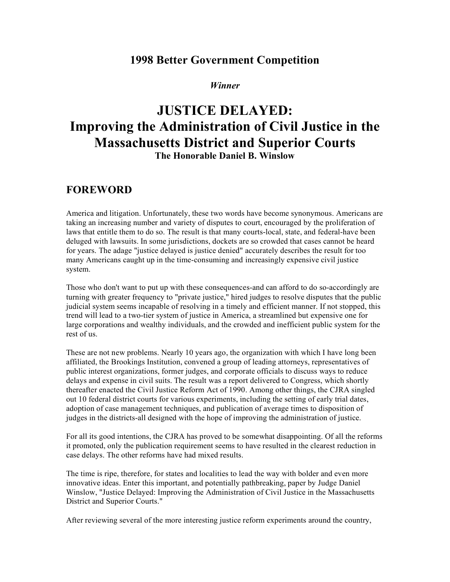## **1998 Better Government Competition**

### *Winner*

# **JUSTICE DELAYED: Improving the Administration of Civil Justice in the Massachusetts District and Superior Courts The Honorable Daniel B. Winslow**

### **FOREWORD**

America and litigation. Unfortunately, these two words have become synonymous. Americans are taking an increasing number and variety of disputes to court, encouraged by the proliferation of laws that entitle them to do so. The result is that many courts-local, state, and federal-have been deluged with lawsuits. In some jurisdictions, dockets are so crowded that cases cannot be heard for years. The adage "justice delayed is justice denied" accurately describes the result for too many Americans caught up in the time-consuming and increasingly expensive civil justice system.

Those who don't want to put up with these consequences-and can afford to do so-accordingly are turning with greater frequency to "private justice," hired judges to resolve disputes that the public judicial system seems incapable of resolving in a timely and efficient manner. If not stopped, this trend will lead to a two-tier system of justice in America, a streamlined but expensive one for large corporations and wealthy individuals, and the crowded and inefficient public system for the rest of us.

These are not new problems. Nearly 10 years ago, the organization with which I have long been affiliated, the Brookings Institution, convened a group of leading attorneys, representatives of public interest organizations, former judges, and corporate officials to discuss ways to reduce delays and expense in civil suits. The result was a report delivered to Congress, which shortly thereafter enacted the Civil Justice Reform Act of 1990. Among other things, the CJRA singled out 10 federal district courts for various experiments, including the setting of early trial dates, adoption of case management techniques, and publication of average times to disposition of judges in the districts-all designed with the hope of improving the administration of justice.

For all its good intentions, the CJRA has proved to be somewhat disappointing. Of all the reforms it promoted, only the publication requirement seems to have resulted in the clearest reduction in case delays. The other reforms have had mixed results.

The time is ripe, therefore, for states and localities to lead the way with bolder and even more innovative ideas. Enter this important, and potentially pathbreaking, paper by Judge Daniel Winslow, "Justice Delayed: Improving the Administration of Civil Justice in the Massachusetts District and Superior Courts."

After reviewing several of the more interesting justice reform experiments around the country,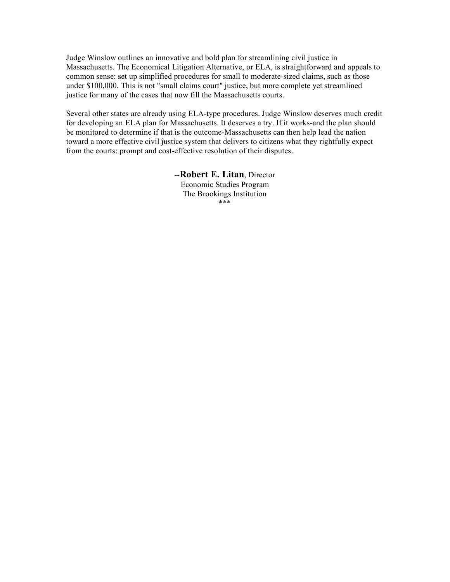Judge Winslow outlines an innovative and bold plan for streamlining civil justice in Massachusetts. The Economical Litigation Alternative, or ELA, is straightforward and appeals to common sense: set up simplified procedures for small to moderate-sized claims, such as those under \$100,000. This is not "small claims court" justice, but more complete yet streamlined justice for many of the cases that now fill the Massachusetts courts.

Several other states are already using ELA-type procedures. Judge Winslow deserves much credit for developing an ELA plan for Massachusetts. It deserves a try. If it works-and the plan should be monitored to determine if that is the outcome-Massachusetts can then help lead the nation toward a more effective civil justice system that delivers to citizens what they rightfully expect from the courts: prompt and cost-effective resolution of their disputes.

> --**Robert E. Litan**, Director Economic Studies Program The Brookings Institution \*\*\*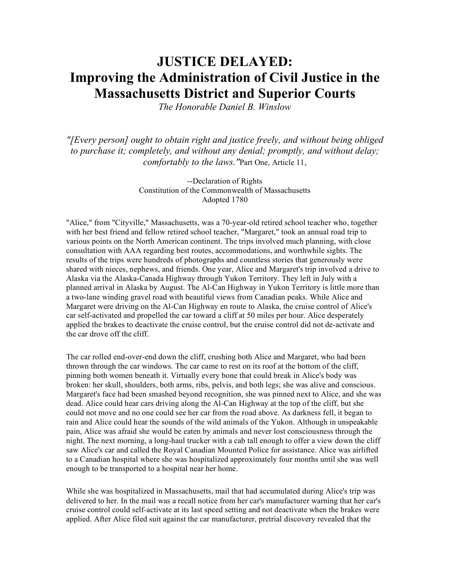# **JUSTICE DELAYED: Improving the Administration of Civil Justice in the Massachusetts District and Superior Courts**

*The Honorable Daniel B. Winslow*

*"[Every person] ought to obtain right and justice freely, and without being obliged to purchase it; completely, and without any denial; promptly, and without delay; comfortably to the laws."*Part One, Article 11,

> --Declaration of Rights Constitution of the Commonwealth of Massachusetts Adopted 1780

"Alice," from "Cityville," Massachusetts, was a 70-year-old retired school teacher who, together with her best friend and fellow retired school teacher, "Margaret," took an annual road trip to various points on the North American continent. The trips involved much planning, with close consultation with AAA regarding best routes, accommodations, and worthwhile sights. The results of the trips were hundreds of photographs and countless stories that generously were shared with nieces, nephews, and friends. One year, Alice and Margaret's trip involved a drive to Alaska via the Alaska-Canada Highway through Yukon Territory. They left in July with a planned arrival in Alaska by August. The Al-Can Highway in Yukon Territory is little more than a two-lane winding gravel road with beautiful views from Canadian peaks. While Alice and Margaret were driving on the Al-Can Highway en route to Alaska, the cruise control of Alice's car self-activated and propelled the car toward a cliff at 50 miles per hour. Alice desperately applied the brakes to deactivate the cruise control, but the cruise control did not de-activate and the car drove off the cliff.

The car rolled end-over-end down the cliff, crushing both Alice and Margaret, who had been thrown through the car windows. The car came to rest on its roof at the bottom of the cliff, pinning both women beneath it. Virtually every bone that could break in Alice's body was broken: her skull, shoulders, both arms, ribs, pelvis, and both legs; she was alive and conscious. Margaret's face had been smashed beyond recognition, she was pinned next to Alice, and she was dead. Alice could hear cars driving along the Al-Can Highway at the top of the cliff, but she could not move and no one could see her car from the road above. As darkness fell, it began to rain and Alice could hear the sounds of the wild animals of the Yukon. Although in unspeakable pain, Alice was afraid she would be eaten by animals and never lost consciousness through the night. The next morning, a long-haul trucker with a cab tall enough to offer a view down the cliff saw Alice's car and called the Royal Canadian Mounted Police for assistance. Alice was airlifted to a Canadian hospital where she was hospitalized approximately four months until she was well enough to be transported to a hospital near her home.

While she was hospitalized in Massachusetts, mail that had accumulated during Alice's trip was delivered to her. In the mail was a recall notice from her car's manufacturer warning that her car's cruise control could self-activate at its last speed setting and not deactivate when the brakes were applied. After Alice filed suit against the car manufacturer, pretrial discovery revealed that the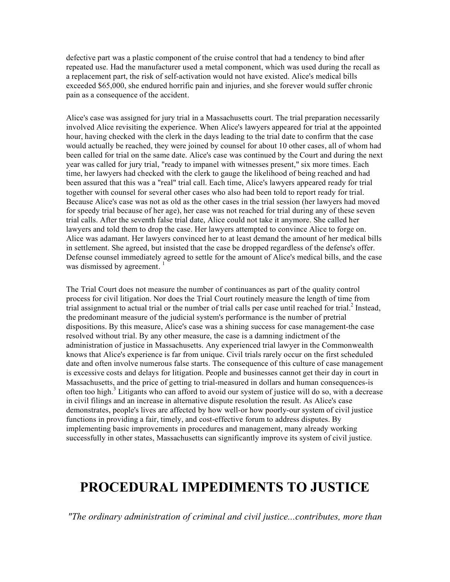defective part was a plastic component of the cruise control that had a tendency to bind after repeated use. Had the manufacturer used a metal component, which was used during the recall as a replacement part, the risk of self-activation would not have existed. Alice's medical bills exceeded \$65,000, she endured horrific pain and injuries, and she forever would suffer chronic pain as a consequence of the accident.

Alice's case was assigned for jury trial in a Massachusetts court. The trial preparation necessarily involved Alice revisiting the experience. When Alice's lawyers appeared for trial at the appointed hour, having checked with the clerk in the days leading to the trial date to confirm that the case would actually be reached, they were joined by counsel for about 10 other cases, all of whom had been called for trial on the same date. Alice's case was continued by the Court and during the next year was called for jury trial, "ready to impanel with witnesses present," six more times. Each time, her lawyers had checked with the clerk to gauge the likelihood of being reached and had been assured that this was a "real" trial call. Each time, Alice's lawyers appeared ready for trial together with counsel for several other cases who also had been told to report ready for trial. Because Alice's case was not as old as the other cases in the trial session (her lawyers had moved for speedy trial because of her age), her case was not reached for trial during any of these seven trial calls. After the seventh false trial date, Alice could not take it anymore. She called her lawyers and told them to drop the case. Her lawyers attempted to convince Alice to forge on. Alice was adamant. Her lawyers convinced her to at least demand the amount of her medical bills in settlement. She agreed, but insisted that the case be dropped regardless of the defense's offer. Defense counsel immediately agreed to settle for the amount of Alice's medical bills, and the case was dismissed by agreement.  $\frac{1}{1}$ 

The Trial Court does not measure the number of continuances as part of the quality control process for civil litigation. Nor does the Trial Court routinely measure the length of time from trial assignment to actual trial or the number of trial calls per case until reached for trial. <sup>2</sup> Instead, the predominant measure of the judicial system's performance is the number of pretrial dispositions. By this measure, Alice's case was a shining success for case management-the case resolved without trial. By any other measure, the case is a damning indictment of the administration of justice in Massachusetts. Any experienced trial lawyer in the Commonwealth knows that Alice's experience is far from unique. Civil trials rarely occur on the first scheduled date and often involve numerous false starts. The consequence of this culture of case management is excessive costs and delays for litigation. People and businesses cannot get their day in court in Massachusetts, and the price of getting to trial-measured in dollars and human consequences-is often too high.<sup>3</sup> Litigants who can afford to avoid our system of justice will do so, with a decrease in civil filings and an increase in alternative dispute resolution the result. As Alice's case demonstrates, people's lives are affected by how well-or how poorly-our system of civil justice functions in providing a fair, timely, and cost-effective forum to address disputes. By implementing basic improvements in procedures and management, many already working successfully in other states, Massachusetts can significantly improve its system of civil justice.

# **PROCEDURAL IMPEDIMENTS TO JUSTICE**

*"The ordinary administration of criminal and civil justice...contributes, more than*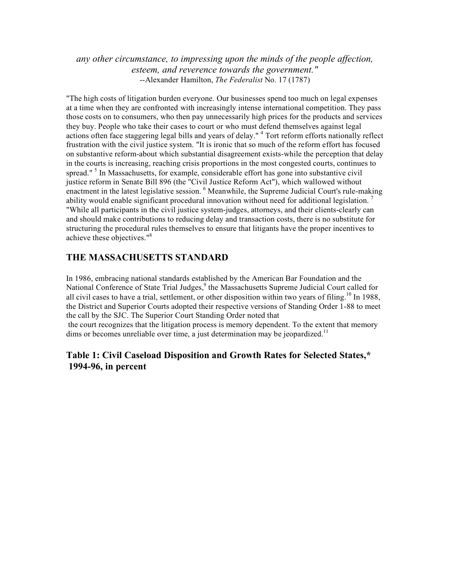*any other circumstance, to impressing upon the minds of the people affection, esteem, and reverence towards the government."* --Alexander Hamilton, *The Federalist* No. 17 (1787)

"The high costs of litigation burden everyone. Our businesses spend too much on legal expenses at a time when they are confronted with increasingly intense international competition. They pass those costs on to consumers, who then pay unnecessarily high prices for the products and services they buy. People who take their cases to court or who must defend themselves against legal actions often face staggering legal bills and years of delay."<sup>4</sup> Tort reform efforts nationally reflect frustration with the civil justice system. "It is ironic that so much of the reform effort has focused on substantive reform-about which substantial disagreement exists-while the perception that delay in the courts is increasing, reaching crisis proportions in the most congested courts, continues to spread."  $5$  In Massachusetts, for example, considerable effort has gone into substantive civil justice reform in Senate Bill 896 (the "Civil Justice Reform Act"), which wallowed without enactment in the latest legislative session. <sup>6</sup> Meanwhile, the Supreme Judicial Court's rule-making ability would enable significant procedural innovation without need for additional legislation.<sup>7</sup> "While all participants in the civil justice system-judges, attorneys, and their clients-clearly can and should make contributions to reducing delay and transaction costs, there is no substitute for structuring the procedural rules themselves to ensure that litigants have the proper incentives to achieve these objectives." 8

### **THE MASSACHUSETTS STANDARD**

In 1986, embracing national standards established by the American Bar Foundation and the National Conference of State Trial Judges,<sup>9</sup> the Massachusetts Supreme Judicial Court called for all civil cases to have a trial, settlement, or other disposition within two years of filing.<sup>10</sup> In 1988, the District and Superior Courts adopted their respective versions of Standing Order 1-88 to meet the call by the SJC. The Superior Court Standing Order noted that the court recognizes that the litigation process is memory dependent. To the extent that memory dims or becomes unreliable over time, a just determination may be jeopardized.<sup>11</sup>

### **Table 1: Civil Caseload Disposition and Growth Rates for Selected States,\* 1994-96, in percent**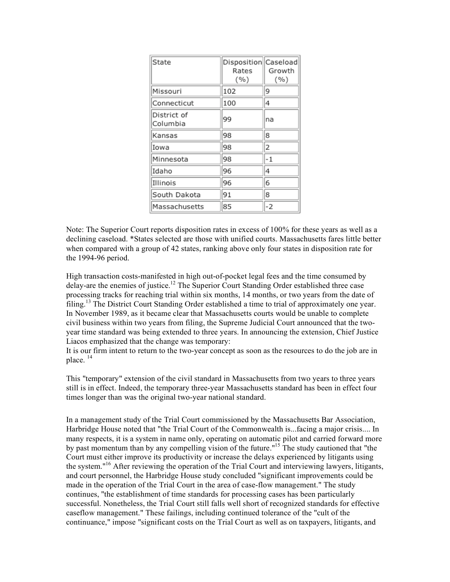| State                   | Disposition Caseload<br>Rates<br>(%) | Growth<br>( %) |
|-------------------------|--------------------------------------|----------------|
| Missouri                | 102                                  | 9              |
| Connecticut             | 100                                  | 4              |
| District of<br>Columbia | 99                                   | na             |
| Kansas                  | 98                                   | 8              |
| Iowa                    | 98                                   | 2              |
| Minnesota               | 98                                   | -1             |
| Idaho                   | 96                                   | 4              |
| Illinois                | 96                                   | 6              |
| South Dakota            | 91                                   | 8              |
| Massachusetts           | 85                                   | -2             |

Note: The Superior Court reports disposition rates in excess of 100% for these years as well as a declining caseload. \*States selected are those with unified courts. Massachusetts fares little better when compared with a group of 42 states, ranking above only four states in disposition rate for the 1994-96 period.

High transaction costs-manifested in high out-of-pocket legal fees and the time consumed by delay-are the enemies of justice.<sup>12</sup> The Superior Court Standing Order established three case processing tracks for reaching trial within six months, 14 months, or two years from the date of filing.<sup>13</sup> The District Court Standing Order established a time to trial of approximately one year. In November 1989, as it became clear that Massachusetts courts would be unable to complete civil business within two years from filing, the Supreme Judicial Court announced that the twoyear time standard was being extended to three years. In announcing the extension, Chief Justice Liacos emphasized that the change was temporary:

It is our firm intent to return to the two-year concept as soon as the resources to do the job are in place.<sup>14</sup>

This "temporary" extension of the civil standard in Massachusetts from two years to three years still is in effect. Indeed, the temporary three-year Massachusetts standard has been in effect four times longer than was the original two-year national standard.

In a management study of the Trial Court commissioned by the Massachusetts Bar Association, Harbridge House noted that "the Trial Court of the Commonwealth is...facing a major crisis.... In many respects, it is a system in name only, operating on automatic pilot and carried forward more by past momentum than by any compelling vision of the future."<sup>15</sup> The study cautioned that "the Court must either improve its productivity or increase the delays experienced by litigants using the system." <sup>16</sup> After reviewing the operation of the Trial Court and interviewing lawyers, litigants, and court personnel, the Harbridge House study concluded "significant improvements could be made in the operation of the Trial Court in the area of case-flow management." The study continues, "the establishment of time standards for processing cases has been particularly successful. Nonetheless, the Trial Court still falls well short of recognized standards for effective caseflow management." These failings, including continued tolerance of the "cult of the continuance," impose "significant costs on the Trial Court as well as on taxpayers, litigants, and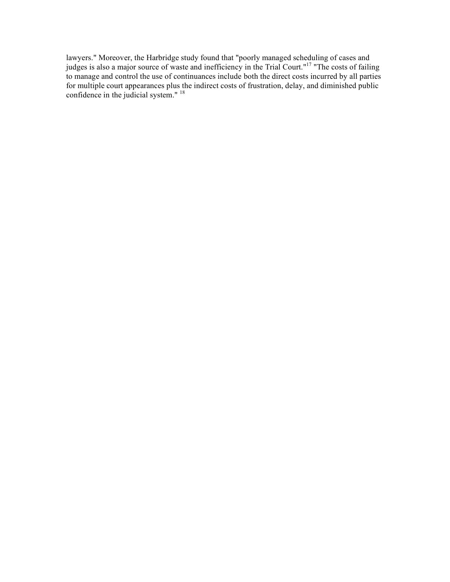lawyers." Moreover, the Harbridge study found that "poorly managed scheduling of cases and judges is also a major source of waste and inefficiency in the Trial Court."<sup>17</sup> "The costs of failing to manage and control the use of continuances include both the direct costs incurred by all parties for multiple court appearances plus the indirect costs of frustration, delay, and diminished public confidence in the judicial system."<sup>18</sup>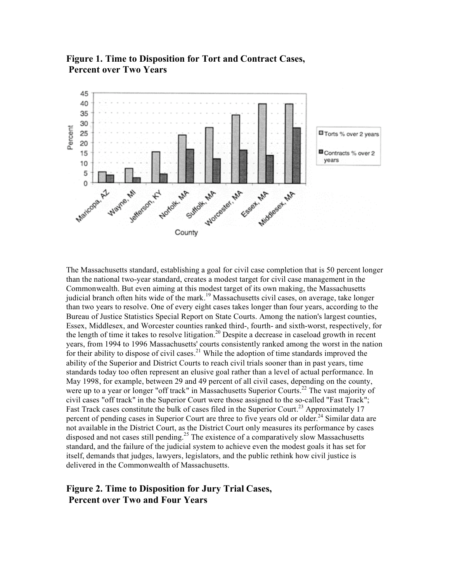

**Figure 1. Time to Disposition for Tort and Contract Cases, Percent over Two Years**

The Massachusetts standard, establishing a goal for civil case completion that is 50 percent longer than the national two-year standard, creates a modest target for civil case management in the Commonwealth. But even aiming at this modest target of its own making, the Massachusetts judicial branch often hits wide of the mark.<sup>19</sup> Massachusetts civil cases, on average, take longer than two years to resolve. One of every eight cases takes longer than four years, according to the Bureau of Justice Statistics Special Report on State Courts. Among the nation's largest counties, Essex, Middlesex, and Worcester counties ranked third-, fourth- and sixth-worst, respectively, for the length of time it takes to resolve litigation.<sup>20</sup> Despite a decrease in caseload growth in recent years, from 1994 to 1996 Massachusetts' courts consistently ranked among the worst in the nation for their ability to dispose of civil cases.<sup>21</sup> While the adoption of time standards improved the ability of the Superior and District Courts to reach civil trials sooner than in past years, time standards today too often represent an elusive goal rather than a level of actual performance. In May 1998, for example, between 29 and 49 percent of all civil cases, depending on the county, were up to a year or longer "off track" in Massachusetts Superior Courts.<sup>22</sup> The vast majority of civil cases "off track" in the Superior Court were those assigned to the so-called "Fast Track"; Fast Track cases constitute the bulk of cases filed in the Superior Court.<sup>23</sup> Approximately 17 percent of pending cases in Superior Court are three to five years old or older.<sup>24</sup> Similar data are not available in the District Court, as the District Court only measures its performance by cases disposed and not cases still pending.<sup>25</sup> The existence of a comparatively slow Massachusetts standard, and the failure of the judicial system to achieve even the modest goals it has set for itself, demands that judges, lawyers, legislators, and the public rethink how civil justice is delivered in the Commonwealth of Massachusetts.

### **Figure 2. Time to Disposition for Jury Trial Cases, Percent over Two and Four Years**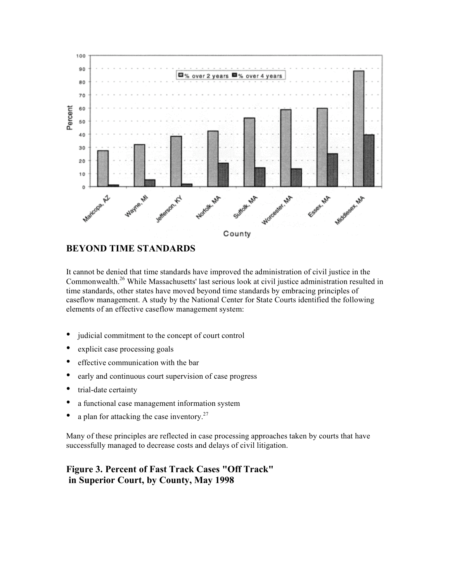

### **BEYOND TIME STANDARDS**

It cannot be denied that time standards have improved the administration of civil justice in the Commonwealth.<sup>26</sup> While Massachusetts' last serious look at civil justice administration resulted in time standards, other states have moved beyond time standards by embracing principles of caseflow management. A study by the National Center for State Courts identified the following elements of an effective caseflow management system:

- judicial commitment to the concept of court control
- explicit case processing goals
- effective communication with the bar
- early and continuous court supervision of case progress
- trial-date certainty
- a functional case management information system
- a plan for attacking the case inventory.<sup>27</sup>

Many of these principles are reflected in case processing approaches taken by courts that have successfully managed to decrease costs and delays of civil litigation.

### **Figure 3. Percent of Fast Track Cases "Off Track" in Superior Court, by County, May 1998**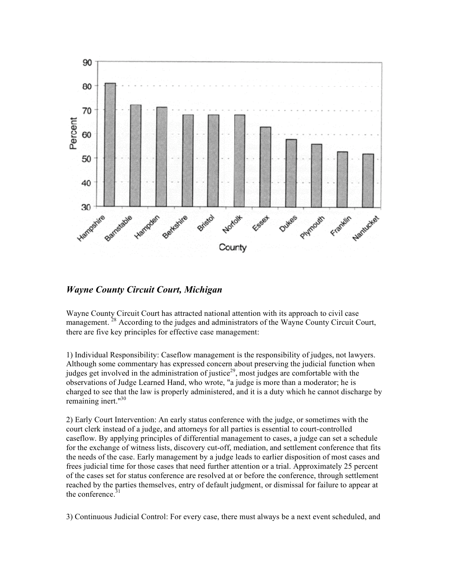

*Wayne County Circuit Court, Michigan*

Wayne County Circuit Court has attracted national attention with its approach to civil case management.<sup>28</sup> According to the judges and administrators of the Wayne County Circuit Court, there are five key principles for effective case management:

1) Individual Responsibility: Caseflow management is the responsibility of judges, not lawyers. Although some commentary has expressed concern about preserving the judicial function when judges get involved in the administration of justice<sup>29</sup>, most judges are comfortable with the observations of Judge Learned Hand, who wrote, "a judge is more than a moderator; he is charged to see that the law is properly administered, and it is a duty which he cannot discharge by remaining inert." 30

2) Early Court Intervention: An early status conference with the judge, or sometimes with the court clerk instead of a judge, and attorneys for all parties is essential to court-controlled caseflow. By applying principles of differential management to cases, a judge can set a schedule for the exchange of witness lists, discovery cut-off, mediation, and settlement conference that fits the needs of the case. Early management by a judge leads to earlier disposition of most cases and frees judicial time for those cases that need further attention or a trial. Approximately 25 percent of the cases set for status conference are resolved at or before the conference, through settlement reached by the parties themselves, entry of default judgment, or dismissal for failure to appear at the conference. $31$ 

3) Continuous Judicial Control: For every case, there must always be a next event scheduled, and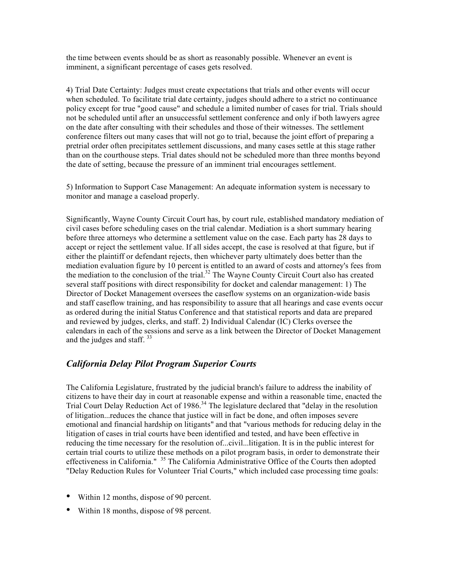the time between events should be as short as reasonably possible. Whenever an event is imminent, a significant percentage of cases gets resolved.

4) Trial Date Certainty: Judges must create expectations that trials and other events will occur when scheduled. To facilitate trial date certainty, judges should adhere to a strict no continuance policy except for true "good cause" and schedule a limited number of cases for trial. Trials should not be scheduled until after an unsuccessful settlement conference and only if both lawyers agree on the date after consulting with their schedules and those of their witnesses. The settlement conference filters out many cases that will not go to trial, because the joint effort of preparing a pretrial order often precipitates settlement discussions, and many cases settle at this stage rather than on the courthouse steps. Trial dates should not be scheduled more than three months beyond the date of setting, because the pressure of an imminent trial encourages settlement.

5) Information to Support Case Management: An adequate information system is necessary to monitor and manage a caseload properly.

Significantly, Wayne County Circuit Court has, by court rule, established mandatory mediation of civil cases before scheduling cases on the trial calendar. Mediation is a short summary hearing before three attorneys who determine a settlement value on the case. Each party has 28 days to accept or reject the settlement value. If all sides accept, the case is resolved at that figure, but if either the plaintiff or defendant rejects, then whichever party ultimately does better than the mediation evaluation figure by 10 percent is entitled to an award of costs and attorney's fees from the mediation to the conclusion of the trial. <sup>32</sup> The Wayne County Circuit Court also has created several staff positions with direct responsibility for docket and calendar management: 1) The Director of Docket Management oversees the caseflow systems on an organization-wide basis and staff caseflow training, and has responsibility to assure that all hearings and case events occur as ordered during the initial Status Conference and that statistical reports and data are prepared and reviewed by judges, clerks, and staff. 2) Individual Calendar (IC) Clerks oversee the calendars in each of the sessions and serve as a link between the Director of Docket Management and the judges and staff. <sup>33</sup>

### *California Delay Pilot Program Superior Courts*

The California Legislature, frustrated by the judicial branch's failure to address the inability of citizens to have their day in court at reasonable expense and within a reasonable time, enacted the Trial Court Delay Reduction Act of 1986.<sup>34</sup> The legislature declared that "delay in the resolution of litigation...reduces the chance that justice will in fact be done, and often imposes severe emotional and financial hardship on litigants" and that "various methods for reducing delay in the litigation of cases in trial courts have been identified and tested, and have been effective in reducing the time necessary for the resolution of...civil...litigation. It is in the public interest for certain trial courts to utilize these methods on a pilot program basis, in order to demonstrate their effectiveness in California." <sup>35</sup> The California Administrative Office of the Courts then adopted "Delay Reduction Rules for Volunteer Trial Courts," which included case processing time goals:

- Within 12 months, dispose of 90 percent.
- Within <sup>18</sup> months, dispose of 98 percent.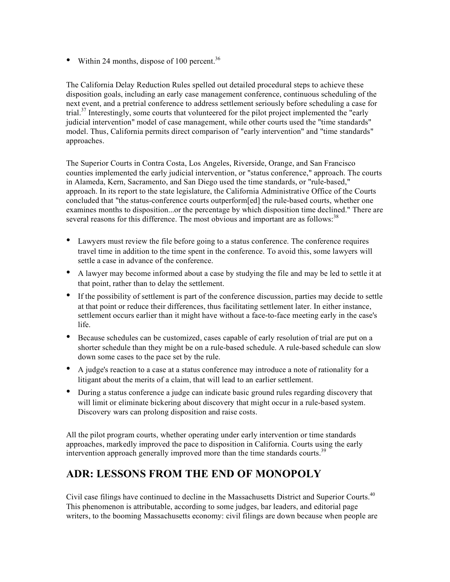• Within 24 months, dispose of 100 percent.<sup>36</sup>

The California Delay Reduction Rules spelled out detailed procedural steps to achieve these disposition goals, including an early case management conference, continuous scheduling of the next event, and a pretrial conference to address settlement seriously before scheduling a case for trial.<sup>37</sup> Interestingly, some courts that volunteered for the pilot project implemented the "early judicial intervention" model of case management, while other courts used the "time standards" model. Thus, California permits direct comparison of "early intervention" and "time standards" approaches.

The Superior Courts in Contra Costa, Los Angeles, Riverside, Orange, and San Francisco counties implemented the early judicial intervention, or "status conference," approach. The courts in Alameda, Kern, Sacramento, and San Diego used the time standards, or "rule-based," approach. In its report to the state legislature, the California Administrative Office of the Courts concluded that "the status-conference courts outperform[ed] the rule-based courts, whether one examines months to disposition...or the percentage by which disposition time declined." There are several reasons for this difference. The most obvious and important are as follows:<sup>38</sup>

- Lawyers must review the file before going to a status conference. The conference requires travel time in addition to the time spent in the conference. To avoid this, some lawyers will settle a case in advance of the conference.
- <sup>A</sup> lawyer may become informed about <sup>a</sup> case by studying the file and may be led to settle it at that point, rather than to delay the settlement.
- If the possibility of settlement is part of the conference discussion, parties may decide to settle at that point or reduce their differences, thus facilitating settlement later. In either instance, settlement occurs earlier than it might have without a face-to-face meeting early in the case's life.
- Because schedules can be customized, cases capable of early resolution of trial are put on <sup>a</sup> shorter schedule than they might be on a rule-based schedule. A rule-based schedule can slow down some cases to the pace set by the rule.
- <sup>A</sup> judge's reaction to <sup>a</sup> case at <sup>a</sup> status conference may introduce a note of rationality for a litigant about the merits of a claim, that will lead to an earlier settlement.
- During a status conference a judge can indicate basic ground rules regarding discovery that will limit or eliminate bickering about discovery that might occur in a rule-based system. Discovery wars can prolong disposition and raise costs.

All the pilot program courts, whether operating under early intervention or time standards approaches, markedly improved the pace to disposition in California. Courts using the early intervention approach generally improved more than the time standards courts.<sup>39</sup>

# **ADR: LESSONS FROM THE END OF MONOPOLY**

Civil case filings have continued to decline in the Massachusetts District and Superior Courts.<sup>40</sup> This phenomenon is attributable, according to some judges, bar leaders, and editorial page writers, to the booming Massachusetts economy: civil filings are down because when people are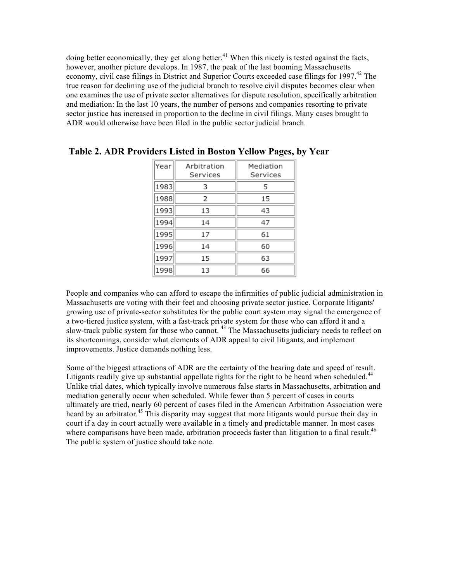doing better economically, they get along better.<sup>41</sup> When this nicety is tested against the facts, however, another picture develops. In 1987, the peak of the last booming Massachusetts economy, civil case filings in District and Superior Courts exceeded case filings for 1997.<sup>42</sup> The true reason for declining use of the judicial branch to resolve civil disputes becomes clear when one examines the use of private sector alternatives for dispute resolution, specifically arbitration and mediation: In the last 10 years, the number of persons and companies resorting to private sector justice has increased in proportion to the decline in civil filings. Many cases brought to ADR would otherwise have been filed in the public sector judicial branch.

| Year | Arbitration<br>Services | Mediation<br>Services |
|------|-------------------------|-----------------------|
| 1983 | з                       | 5                     |
| 1988 | 2                       | 15                    |
| 1993 | 13                      | 43                    |
| 1994 | 14                      | 47                    |
| 1995 | 17                      | 61                    |
| 1996 | 14                      | 60                    |
| 1997 | 15                      | 63                    |
| 1998 | 13                      | 66                    |

**Table 2. ADR Providers Listed in Boston Yellow Pages, by Year**

People and companies who can afford to escape the infirmities of public judicial administration in Massachusetts are voting with their feet and choosing private sector justice. Corporate litigants' growing use of private-sector substitutes for the public court system may signal the emergence of a two-tiered justice system, with a fast-track private system for those who can afford it and a slow-track public system for those who cannot.<sup>43</sup> The Massachusetts judiciary needs to reflect on its shortcomings, consider what elements of ADR appeal to civil litigants, and implement improvements. Justice demands nothing less.

Some of the biggest attractions of ADR are the certainty of the hearing date and speed of result. Litigants readily give up substantial appellate rights for the right to be heard when scheduled.<sup>44</sup> Unlike trial dates, which typically involve numerous false starts in Massachusetts, arbitration and mediation generally occur when scheduled. While fewer than 5 percent of cases in courts ultimately are tried, nearly 60 percent of cases filed in the American Arbitration Association were heard by an arbitrator.<sup>45</sup> This disparity may suggest that more litigants would pursue their day in court if a day in court actually were available in a timely and predictable manner. In most cases where comparisons have been made, arbitration proceeds faster than litigation to a final result.<sup>46</sup> The public system of justice should take note.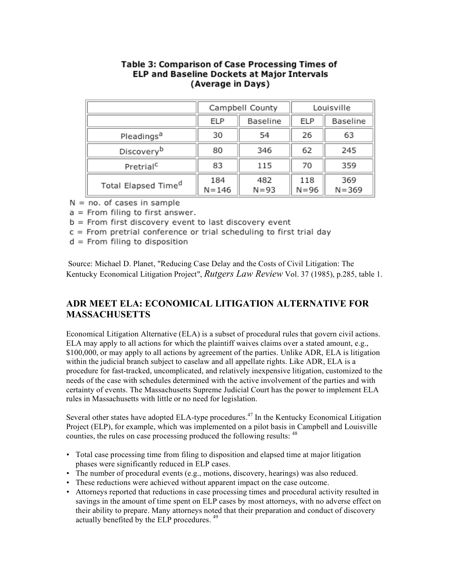| Table 3: Comparison of Case Processing Times of    |  |  |
|----------------------------------------------------|--|--|
| <b>ELP and Baseline Dockets at Major Intervals</b> |  |  |
| (Average in Days)                                  |  |  |

|                                 | Campbell County  |                 | Louisville      |                  |
|---------------------------------|------------------|-----------------|-----------------|------------------|
|                                 | <b>ELP</b>       | Baseline        | <b>ELP</b>      | Baseline         |
| Pleadings <sup>a</sup>          | 30               | 54              | 26              | 63               |
| Discovery <sup>b</sup>          | 80               | 346             | 62              | 245              |
| Pretrial <sup>c</sup>           | 83               | 115             | 70              | 359              |
| Total Elapsed Time <sup>d</sup> | 184<br>$N = 146$ | 482<br>$N = 93$ | 118<br>$N = 96$ | 369<br>$N = 369$ |

 $N = no$ . of cases in sample

 $a =$  From filing to first answer.

 $b =$  From first discovery event to last discovery event

c = From pretrial conference or trial scheduling to first trial day

 $d =$  From filing to disposition

Source: Michael D. Planet, "Reducing Case Delay and the Costs of Civil Litigation: The Kentucky Economical Litigation Project", *Rutgers Law Review* Vol. 37 (1985), p.285, table 1.

## **ADR MEET ELA: ECONOMICAL LITIGATION ALTERNATIVE FOR MASSACHUSETTS**

Economical Litigation Alternative (ELA) is a subset of procedural rules that govern civil actions. ELA may apply to all actions for which the plaintiff waives claims over a stated amount, e.g., \$100,000, or may apply to all actions by agreement of the parties. Unlike ADR, ELA is litigation within the judicial branch subject to caselaw and all appellate rights. Like ADR, ELA is a procedure for fast-tracked, uncomplicated, and relatively inexpensive litigation, customized to the needs of the case with schedules determined with the active involvement of the parties and with certainty of events. The Massachusetts Supreme Judicial Court has the power to implement ELA rules in Massachusetts with little or no need for legislation.

Several other states have adopted ELA-type procedures.<sup>47</sup> In the Kentucky Economical Litigation Project (ELP), for example, which was implemented on a pilot basis in Campbell and Louisville counties, the rules on case processing produced the following results: <sup>48</sup>

- Total case processing time from filing to disposition and elapsed time at major litigation phases were significantly reduced in ELP cases.
- The number of procedural events (e.g., motions, discovery, hearings) was also reduced.
- These reductions were achieved without apparent impact on the case outcome.
- Attorneys reported that reductions in case processing times and procedural activity resulted in savings in the amount of time spent on ELP cases by most attorneys, with no adverse effect on their ability to prepare. Many attorneys noted that their preparation and conduct of discovery actually benefited by the ELP procedures. <sup>49</sup>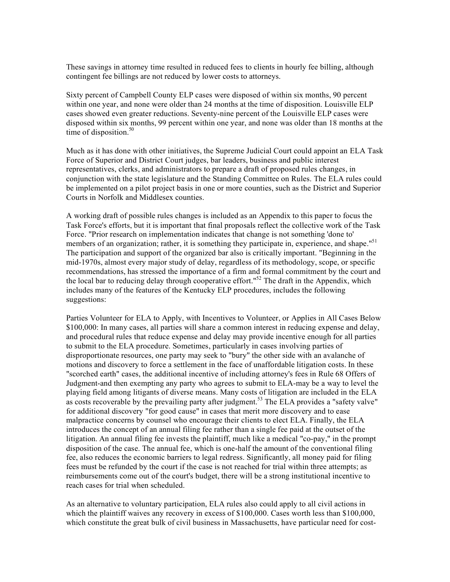These savings in attorney time resulted in reduced fees to clients in hourly fee billing, although contingent fee billings are not reduced by lower costs to attorneys.

Sixty percent of Campbell County ELP cases were disposed of within six months, 90 percent within one year, and none were older than 24 months at the time of disposition. Louisville ELP cases showed even greater reductions. Seventy-nine percent of the Louisville ELP cases were disposed within six months, 99 percent within one year, and none was older than 18 months at the time of disposition. 50

Much as it has done with other initiatives, the Supreme Judicial Court could appoint an ELA Task Force of Superior and District Court judges, bar leaders, business and public interest representatives, clerks, and administrators to prepare a draft of proposed rules changes, in conjunction with the state legislature and the Standing Committee on Rules. The ELA rules could be implemented on a pilot project basis in one or more counties, such as the District and Superior Courts in Norfolk and Middlesex counties.

A working draft of possible rules changes is included as an Appendix to this paper to focus the Task Force's efforts, but it is important that final proposals reflect the collective work of the Task Force. "Prior research on implementation indicates that change is not something 'done to' members of an organization; rather, it is something they participate in, experience, and shape.<sup>151</sup> The participation and support of the organized bar also is critically important. "Beginning in the mid-1970s, almost every major study of delay, regardless of its methodology, scope, or specific recommendations, has stressed the importance of a firm and formal commitment by the court and the local bar to reducing delay through cooperative effort."<sup>52</sup> The draft in the Appendix, which includes many of the features of the Kentucky ELP procedures, includes the following suggestions:

Parties Volunteer for ELA to Apply, with Incentives to Volunteer, or Applies in All Cases Below \$100,000: In many cases, all parties will share a common interest in reducing expense and delay, and procedural rules that reduce expense and delay may provide incentive enough for all parties to submit to the ELA procedure. Sometimes, particularly in cases involving parties of disproportionate resources, one party may seek to "bury" the other side with an avalanche of motions and discovery to force a settlement in the face of unaffordable litigation costs. In these "scorched earth" cases, the additional incentive of including attorney's fees in Rule 68 Offers of Judgment-and then exempting any party who agrees to submit to ELA-may be a way to level the playing field among litigants of diverse means. Many costs of litigation are included in the ELA as costs recoverable by the prevailing party after judgment.<sup>53</sup> The ELA provides a "safety valve" for additional discovery "for good cause" in cases that merit more discovery and to ease malpractice concerns by counsel who encourage their clients to elect ELA. Finally, the ELA introduces the concept of an annual filing fee rather than a single fee paid at the outset of the litigation. An annual filing fee invests the plaintiff, much like a medical "co-pay," in the prompt disposition of the case. The annual fee, which is one-half the amount of the conventional filing fee, also reduces the economic barriers to legal redress. Significantly, all money paid for filing fees must be refunded by the court if the case is not reached for trial within three attempts; as reimbursements come out of the court's budget, there will be a strong institutional incentive to reach cases for trial when scheduled.

As an alternative to voluntary participation, ELA rules also could apply to all civil actions in which the plaintiff waives any recovery in excess of \$100,000. Cases worth less than \$100,000, which constitute the great bulk of civil business in Massachusetts, have particular need for cost-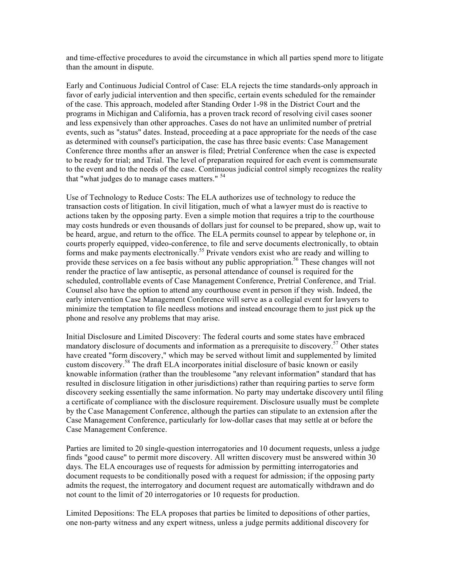and time-effective procedures to avoid the circumstance in which all parties spend more to litigate than the amount in dispute.

Early and Continuous Judicial Control of Case: ELA rejects the time standards-only approach in favor of early judicial intervention and then specific, certain events scheduled for the remainder of the case. This approach, modeled after Standing Order 1-98 in the District Court and the programs in Michigan and California, has a proven track record of resolving civil cases sooner and less expensively than other approaches. Cases do not have an unlimited number of pretrial events, such as "status" dates. Instead, proceeding at a pace appropriate for the needs of the case as determined with counsel's participation, the case has three basic events: Case Management Conference three months after an answer is filed; Pretrial Conference when the case is expected to be ready for trial; and Trial. The level of preparation required for each event is commensurate to the event and to the needs of the case. Continuous judicial control simply recognizes the reality that "what judges do to manage cases matters." <sup>54</sup>

Use of Technology to Reduce Costs: The ELA authorizes use of technology to reduce the transaction costs of litigation. In civil litigation, much of what a lawyer must do is reactive to actions taken by the opposing party. Even a simple motion that requires a trip to the courthouse may costs hundreds or even thousands of dollars just for counsel to be prepared, show up, wait to be heard, argue, and return to the office. The ELA permits counsel to appear by telephone or, in courts properly equipped, video-conference, to file and serve documents electronically, to obtain forms and make payments electronically.<sup>55</sup> Private vendors exist who are ready and willing to provide these services on a fee basis without any public appropriation.<sup>56</sup> These changes will not render the practice of law antiseptic, as personal attendance of counsel is required for the scheduled, controllable events of Case Management Conference, Pretrial Conference, and Trial. Counsel also have the option to attend any courthouse event in person if they wish. Indeed, the early intervention Case Management Conference will serve as a collegial event for lawyers to minimize the temptation to file needless motions and instead encourage them to just pick up the phone and resolve any problems that may arise.

Initial Disclosure and Limited Discovery: The federal courts and some states have embraced mandatory disclosure of documents and information as a prerequisite to discovery.<sup>57</sup> Other states have created "form discovery," which may be served without limit and supplemented by limited custom discovery. <sup>58</sup> The draft ELA incorporates initial disclosure of basic known or easily knowable information (rather than the troublesome "any relevant information" standard that has resulted in disclosure litigation in other jurisdictions) rather than requiring parties to serve form discovery seeking essentially the same information. No party may undertake discovery until filing a certificate of compliance with the disclosure requirement. Disclosure usually must be complete by the Case Management Conference, although the parties can stipulate to an extension after the Case Management Conference, particularly for low-dollar cases that may settle at or before the Case Management Conference.

Parties are limited to 20 single-question interrogatories and 10 document requests, unless a judge finds "good cause" to permit more discovery. All written discovery must be answered within 30 days. The ELA encourages use of requests for admission by permitting interrogatories and document requests to be conditionally posed with a request for admission; if the opposing party admits the request, the interrogatory and document request are automatically withdrawn and do not count to the limit of 20 interrogatories or 10 requests for production.

Limited Depositions: The ELA proposes that parties be limited to depositions of other parties, one non-party witness and any expert witness, unless a judge permits additional discovery for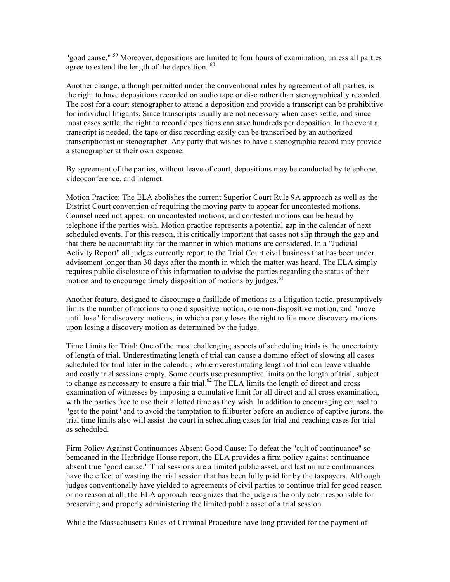"good cause." <sup>59</sup> Moreover, depositions are limited to four hours of examination, unless all parties agree to extend the length of the deposition. <sup>60</sup>

Another change, although permitted under the conventional rules by agreement of all parties, is the right to have depositions recorded on audio tape or disc rather than stenographically recorded. The cost for a court stenographer to attend a deposition and provide a transcript can be prohibitive for individual litigants. Since transcripts usually are not necessary when cases settle, and since most cases settle, the right to record depositions can save hundreds per deposition. In the event a transcript is needed, the tape or disc recording easily can be transcribed by an authorized transcriptionist or stenographer. Any party that wishes to have a stenographic record may provide a stenographer at their own expense.

By agreement of the parties, without leave of court, depositions may be conducted by telephone, videoconference, and internet.

Motion Practice: The ELA abolishes the current Superior Court Rule 9A approach as well as the District Court convention of requiring the moving party to appear for uncontested motions. Counsel need not appear on uncontested motions, and contested motions can be heard by telephone if the parties wish. Motion practice represents a potential gap in the calendar of next scheduled events. For this reason, it is critically important that cases not slip through the gap and that there be accountability for the manner in which motions are considered. In a "Judicial Activity Report" all judges currently report to the Trial Court civil business that has been under advisement longer than 30 days after the month in which the matter was heard. The ELA simply requires public disclosure of this information to advise the parties regarding the status of their motion and to encourage timely disposition of motions by judges.<sup>61</sup>

Another feature, designed to discourage a fusillade of motions as a litigation tactic, presumptively limits the number of motions to one dispositive motion, one non-dispositive motion, and "move until lose" for discovery motions, in which a party loses the right to file more discovery motions upon losing a discovery motion as determined by the judge.

Time Limits for Trial: One of the most challenging aspects of scheduling trials is the uncertainty of length of trial. Underestimating length of trial can cause a domino effect of slowing all cases scheduled for trial later in the calendar, while overestimating length of trial can leave valuable and costly trial sessions empty. Some courts use presumptive limits on the length of trial, subject to change as necessary to ensure a fair trial. <sup>62</sup> The ELA limits the length of direct and cross examination of witnesses by imposing a cumulative limit for all direct and all cross examination, with the parties free to use their allotted time as they wish. In addition to encouraging counsel to "get to the point" and to avoid the temptation to filibuster before an audience of captive jurors, the trial time limits also will assist the court in scheduling cases for trial and reaching cases for trial as scheduled.

Firm Policy Against Continuances Absent Good Cause: To defeat the "cult of continuance" so bemoaned in the Harbridge House report, the ELA provides a firm policy against continuance absent true "good cause." Trial sessions are a limited public asset, and last minute continuances have the effect of wasting the trial session that has been fully paid for by the taxpayers. Although judges conventionally have yielded to agreements of civil parties to continue trial for good reason or no reason at all, the ELA approach recognizes that the judge is the only actor responsible for preserving and properly administering the limited public asset of a trial session.

While the Massachusetts Rules of Criminal Procedure have long provided for the payment of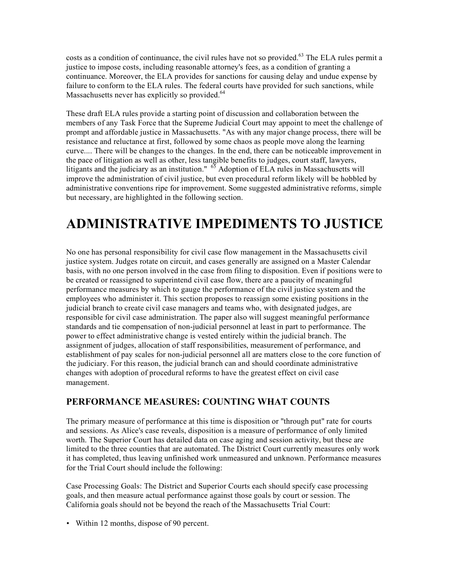costs as a condition of continuance, the civil rules have not so provided.<sup>63</sup> The ELA rules permit a justice to impose costs, including reasonable attorney's fees, as a condition of granting a continuance. Moreover, the ELA provides for sanctions for causing delay and undue expense by failure to conform to the ELA rules. The federal courts have provided for such sanctions, while Massachusetts never has explicitly so provided.<sup>64</sup>

These draft ELA rules provide a starting point of discussion and collaboration between the members of any Task Force that the Supreme Judicial Court may appoint to meet the challenge of prompt and affordable justice in Massachusetts. "As with any major change process, there will be resistance and reluctance at first, followed by some chaos as people move along the learning curve.... There will be changes to the changes. In the end, there can be noticeable improvement in the pace of litigation as well as other, less tangible benefits to judges, court staff, lawyers, litigants and the judiciary as an institution."  $65$  Adoption of ELA rules in Massachusetts will improve the administration of civil justice, but even procedural reform likely will be hobbled by administrative conventions ripe for improvement. Some suggested administrative reforms, simple but necessary, are highlighted in the following section.

# **ADMINISTRATIVE IMPEDIMENTS TO JUSTICE**

No one has personal responsibility for civil case flow management in the Massachusetts civil justice system. Judges rotate on circuit, and cases generally are assigned on a Master Calendar basis, with no one person involved in the case from filing to disposition. Even if positions were to be created or reassigned to superintend civil case flow, there are a paucity of meaningful performance measures by which to gauge the performance of the civil justice system and the employees who administer it. This section proposes to reassign some existing positions in the judicial branch to create civil case managers and teams who, with designated judges, are responsible for civil case administration. The paper also will suggest meaningful performance standards and tie compensation of non-judicial personnel at least in part to performance. The power to effect administrative change is vested entirely within the judicial branch. The assignment of judges, allocation of staff responsibilities, measurement of performance, and establishment of pay scales for non-judicial personnel all are matters close to the core function of the judiciary. For this reason, the judicial branch can and should coordinate administrative changes with adoption of procedural reforms to have the greatest effect on civil case management.

### **PERFORMANCE MEASURES: COUNTING WHAT COUNTS**

The primary measure of performance at this time is disposition or "through put" rate for courts and sessions. As Alice's case reveals, disposition is a measure of performance of only limited worth. The Superior Court has detailed data on case aging and session activity, but these are limited to the three counties that are automated. The District Court currently measures only work it has completed, thus leaving unfinished work unmeasured and unknown. Performance measures for the Trial Court should include the following:

Case Processing Goals: The District and Superior Courts each should specify case processing goals, and then measure actual performance against those goals by court or session. The California goals should not be beyond the reach of the Massachusetts Trial Court:

• Within 12 months, dispose of 90 percent.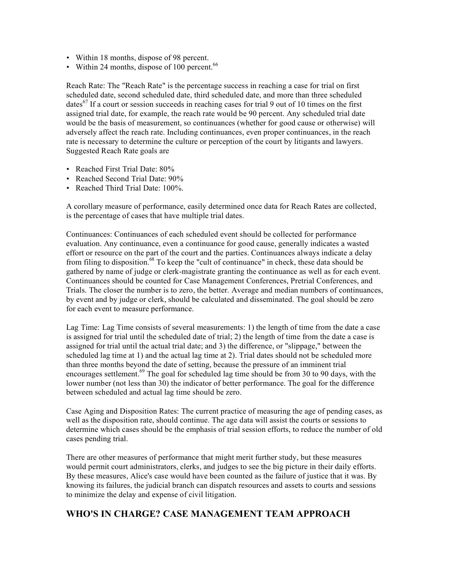- Within 18 months, dispose of 98 percent.
- Within 24 months, dispose of 100 percent.<sup>66</sup>

Reach Rate: The "Reach Rate" is the percentage success in reaching a case for trial on first scheduled date, second scheduled date, third scheduled date, and more than three scheduled dates<sup>67</sup> If a court or session succeeds in reaching cases for trial 9 out of 10 times on the first assigned trial date, for example, the reach rate would be 90 percent. Any scheduled trial date would be the basis of measurement, so continuances (whether for good cause or otherwise) will adversely affect the reach rate. Including continuances, even proper continuances, in the reach rate is necessary to determine the culture or perception of the court by litigants and lawyers. Suggested Reach Rate goals are

- Reached First Trial Date: 80%
- Reached Second Trial Date:  $90\%$
- Reached Third Trial Date: 100%.

A corollary measure of performance, easily determined once data for Reach Rates are collected, is the percentage of cases that have multiple trial dates.

Continuances: Continuances of each scheduled event should be collected for performance evaluation. Any continuance, even a continuance for good cause, generally indicates a wasted effort or resource on the part of the court and the parties. Continuances always indicate a delay from filing to disposition.<sup>68</sup> To keep the "cult of continuance" in check, these data should be gathered by name of judge or clerk-magistrate granting the continuance as well as for each event. Continuances should be counted for Case Management Conferences, Pretrial Conferences, and Trials. The closer the number is to zero, the better. Average and median numbers of continuances, by event and by judge or clerk, should be calculated and disseminated. The goal should be zero for each event to measure performance.

Lag Time: Lag Time consists of several measurements: 1) the length of time from the date a case is assigned for trial until the scheduled date of trial; 2) the length of time from the date a case is assigned for trial until the actual trial date; and 3) the difference, or "slippage," between the scheduled lag time at 1) and the actual lag time at 2). Trial dates should not be scheduled more than three months beyond the date of setting, because the pressure of an imminent trial encourages settlement.<sup>69</sup> The goal for scheduled lag time should be from 30 to 90 days, with the lower number (not less than 30) the indicator of better performance. The goal for the difference between scheduled and actual lag time should be zero.

Case Aging and Disposition Rates: The current practice of measuring the age of pending cases, as well as the disposition rate, should continue. The age data will assist the courts or sessions to determine which cases should be the emphasis of trial session efforts, to reduce the number of old cases pending trial.

There are other measures of performance that might merit further study, but these measures would permit court administrators, clerks, and judges to see the big picture in their daily efforts. By these measures, Alice's case would have been counted as the failure of justice that it was. By knowing its failures, the judicial branch can dispatch resources and assets to courts and sessions to minimize the delay and expense of civil litigation.

### **WHO'S IN CHARGE? CASE MANAGEMENT TEAM APPROACH**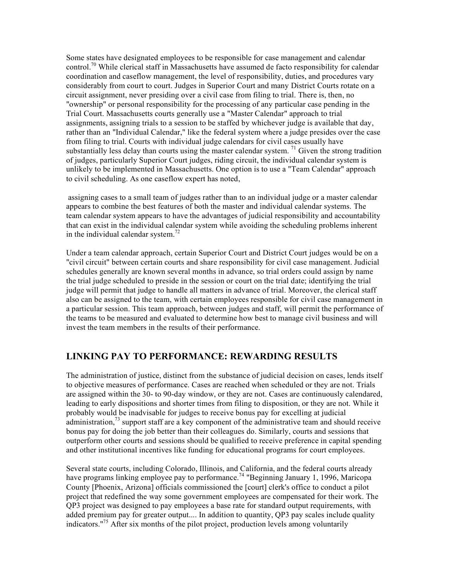Some states have designated employees to be responsible for case management and calendar control.<sup>70</sup> While clerical staff in Massachusetts have assumed de facto responsibility for calendar coordination and caseflow management, the level of responsibility, duties, and procedures vary considerably from court to court. Judges in Superior Court and many District Courts rotate on a circuit assignment, never presiding over a civil case from filing to trial. There is, then, no "ownership" or personal responsibility for the processing of any particular case pending in the Trial Court. Massachusetts courts generally use a "Master Calendar" approach to trial assignments, assigning trials to a session to be staffed by whichever judge is available that day, rather than an "Individual Calendar," like the federal system where a judge presides over the case from filing to trial. Courts with individual judge calendars for civil cases usually have substantially less delay than courts using the master calendar system. <sup>71</sup> Given the strong tradition of judges, particularly Superior Court judges, riding circuit, the individual calendar system is unlikely to be implemented in Massachusetts. One option is to use a "Team Calendar" approach to civil scheduling. As one caseflow expert has noted,

assigning cases to a small team of judges rather than to an individual judge or a master calendar appears to combine the best features of both the master and individual calendar systems. The team calendar system appears to have the advantages of judicial responsibility and accountability that can exist in the individual calendar system while avoiding the scheduling problems inherent in the individual calendar system.<sup>72</sup>

Under a team calendar approach, certain Superior Court and District Court judges would be on a "civil circuit" between certain courts and share responsibility for civil case management. Judicial schedules generally are known several months in advance, so trial orders could assign by name the trial judge scheduled to preside in the session or court on the trial date; identifying the trial judge will permit that judge to handle all matters in advance of trial. Moreover, the clerical staff also can be assigned to the team, with certain employees responsible for civil case management in a particular session. This team approach, between judges and staff, will permit the performance of the teams to be measured and evaluated to determine how best to manage civil business and will invest the team members in the results of their performance.

### **LINKING PAY TO PERFORMANCE: REWARDING RESULTS**

The administration of justice, distinct from the substance of judicial decision on cases, lends itself to objective measures of performance. Cases are reached when scheduled or they are not. Trials are assigned within the 30- to 90-day window, or they are not. Cases are continuously calendared, leading to early dispositions and shorter times from filing to disposition, or they are not. While it probably would be inadvisable for judges to receive bonus pay for excelling at judicial administration,<sup>73</sup> support staff are a key component of the administrative team and should receive bonus pay for doing the job better than their colleagues do. Similarly, courts and sessions that outperform other courts and sessions should be qualified to receive preference in capital spending and other institutional incentives like funding for educational programs for court employees.

Several state courts, including Colorado, Illinois, and California, and the federal courts already have programs linking employee pay to performance.<sup>74</sup> "Beginning January 1, 1996, Maricopa County [Phoenix, Arizona] officials commissioned the [court] clerk's office to conduct a pilot project that redefined the way some government employees are compensated for their work. The QP3 project was designed to pay employees a base rate for standard output requirements, with added premium pay for greater output.... In addition to quantity, QP3 pay scales include quality indicators." <sup>75</sup> After six months of the pilot project, production levels among voluntarily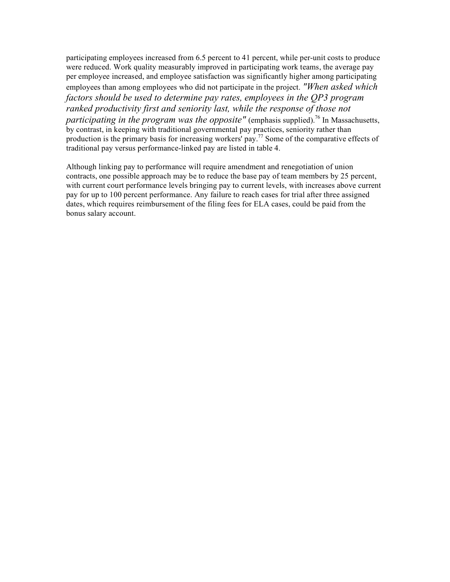participating employees increased from 6.5 percent to 41 percent, while per-unit costs to produce were reduced. Work quality measurably improved in participating work teams, the average pay per employee increased, and employee satisfaction was significantly higher among participating employees than among employees who did not participate in the project. *"When asked which factors should be used to determine pay rates, employees in the QP3 program ranked productivity first and seniority last, while the response of those not participating in the program was the opposite"* (emphasis supplied).<sup>76</sup> In Massachusetts, by contrast, in keeping with traditional governmental pay practices, seniority rather than production is the primary basis for increasing workers' pay.<sup>77</sup> Some of the comparative effects of traditional pay versus performance-linked pay are listed in table 4.

Although linking pay to performance will require amendment and renegotiation of union contracts, one possible approach may be to reduce the base pay of team members by 25 percent, with current court performance levels bringing pay to current levels, with increases above current pay for up to 100 percent performance. Any failure to reach cases for trial after three assigned dates, which requires reimbursement of the filing fees for ELA cases, could be paid from the bonus salary account.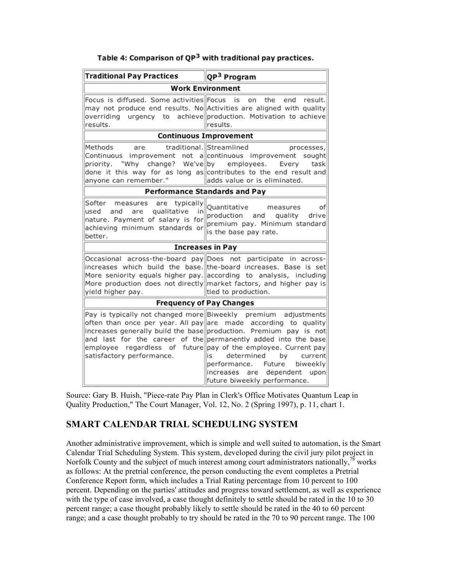| Table 4: Comparison of QP <sup>3</sup> with traditional pay practices. |  |
|------------------------------------------------------------------------|--|
|------------------------------------------------------------------------|--|

| <b>Traditional Pay Practices</b>                                                                                                                              | QP <sup>3</sup> Program                                                                                                                                                                                                                                                                                                                                                                                                                                                                     |  |  |
|---------------------------------------------------------------------------------------------------------------------------------------------------------------|---------------------------------------------------------------------------------------------------------------------------------------------------------------------------------------------------------------------------------------------------------------------------------------------------------------------------------------------------------------------------------------------------------------------------------------------------------------------------------------------|--|--|
| <b>Work Environment</b>                                                                                                                                       |                                                                                                                                                                                                                                                                                                                                                                                                                                                                                             |  |  |
| Focus is diffused. Some activities Focus is<br>results.                                                                                                       | on.<br>the<br>result.<br>end<br>may not produce end results. No Activities are aligned with quality<br>overriding urgency to achieve production. Motivation to achieve<br>results.                                                                                                                                                                                                                                                                                                          |  |  |
| <b>Continuous Improvement</b>                                                                                                                                 |                                                                                                                                                                                                                                                                                                                                                                                                                                                                                             |  |  |
| Methods<br>are<br>"Why<br>priority.<br>anyone can remember."                                                                                                  | traditional. Streamlined<br>processes,<br>Continuous improvement not a continuous improvement sought<br>change? We've by employees.<br>Everv<br>task<br>done it this way for as long as contributes to the end result and<br>adds value or is eliminated.                                                                                                                                                                                                                                   |  |  |
| <b>Performance Standards and Pay</b>                                                                                                                          |                                                                                                                                                                                                                                                                                                                                                                                                                                                                                             |  |  |
| Softer<br>are typically<br>measures<br>qualitative<br>used and<br>are<br>inl<br>nature. Payment of salary is for<br>achieving minimum standards or<br>better. | of<br>Quantitative<br>measures<br>production and quality<br>drive<br>premium pay. Minimum standard<br>is the base pay rate.                                                                                                                                                                                                                                                                                                                                                                 |  |  |
| <b>Increases in Pay</b>                                                                                                                                       |                                                                                                                                                                                                                                                                                                                                                                                                                                                                                             |  |  |
| yield higher pay.                                                                                                                                             | Occasional across-the-board pay Does not participate in across-<br>increases which build the base. the-board increases. Base is set<br>More seniority equals higher pay. according to analysis, including<br>More production does not directly market factors, and higher pay is<br>tied to production.                                                                                                                                                                                     |  |  |
| <b>Frequency of Pay Changes</b>                                                                                                                               |                                                                                                                                                                                                                                                                                                                                                                                                                                                                                             |  |  |
| satisfactory performance.                                                                                                                                     | Pay is typically not changed more Biweekly premium adjustments<br>often than once per year. All pay are made according to quality<br>increases generally build the base production. Premium pay is not<br>and last for the career of the permanently added into the base<br>employee regardless of future pay of the employee. Current pay<br>is<br>determined<br>by<br>current<br>performance. Future<br>biweekly<br>increases<br>are<br>dependent<br>upon<br>future biweekly performance. |  |  |

Source: Gary B. Huish, "Piece-rate Pay Plan in Clerk's Office Motivates Quantum Leap in Quality Production," The Court Manager, Vol. 12, No. 2 (Spring 1997), p. 11, chart 1.

### **SMART CALENDAR TRIAL SCHEDULING SYSTEM**

Another administrative improvement, which is simple and well suited to automation, is the Smart Calendar Trial Scheduling System. This system, developed during the civil jury pilot project in Norfolk County and the subject of much interest among court administrators nationally,  $^{78}$  works as follows: At the pretrial conference, the person conducting the event completes a Pretrial Conference Report form, which includes a Trial Rating percentage from 10 percent to 100 percent. Depending on the parties' attitudes and progress toward settlement, as well as experience with the type of case involved, a case thought definitely to settle should be rated in the 10 to 30 percent range; a case thought probably likely to settle should be rated in the 40 to 60 percent range; and a case thought probably to try should be rated in the 70 to 90 percent range. The 100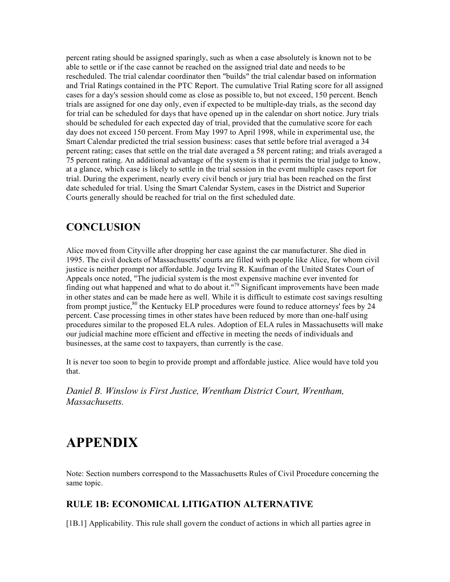percent rating should be assigned sparingly, such as when a case absolutely is known not to be able to settle or if the case cannot be reached on the assigned trial date and needs to be rescheduled. The trial calendar coordinator then "builds" the trial calendar based on information and Trial Ratings contained in the PTC Report. The cumulative Trial Rating score for all assigned cases for a day's session should come as close as possible to, but not exceed, 150 percent. Bench trials are assigned for one day only, even if expected to be multiple-day trials, as the second day for trial can be scheduled for days that have opened up in the calendar on short notice. Jury trials should be scheduled for each expected day of trial, provided that the cumulative score for each day does not exceed 150 percent. From May 1997 to April 1998, while in experimental use, the Smart Calendar predicted the trial session business: cases that settle before trial averaged a 34 percent rating; cases that settle on the trial date averaged a 58 percent rating; and trials averaged a 75 percent rating. An additional advantage of the system is that it permits the trial judge to know, at a glance, which case is likely to settle in the trial session in the event multiple cases report for trial. During the experiment, nearly every civil bench or jury trial has been reached on the first date scheduled for trial. Using the Smart Calendar System, cases in the District and Superior Courts generally should be reached for trial on the first scheduled date.

# **CONCLUSION**

Alice moved from Cityville after dropping her case against the car manufacturer. She died in 1995. The civil dockets of Massachusetts' courts are filled with people like Alice, for whom civil justice is neither prompt nor affordable. Judge Irving R. Kaufman of the United States Court of Appeals once noted, "The judicial system is the most expensive machine ever invented for finding out what happened and what to do about it."<sup>79</sup> Significant improvements have been made in other states and can be made here as well. While it is difficult to estimate cost savings resulting from prompt justice,  $80$  the Kentucky ELP procedures were found to reduce attorneys' fees by 24 percent. Case processing times in other states have been reduced by more than one-half using procedures similar to the proposed ELA rules. Adoption of ELA rules in Massachusetts will make our judicial machine more efficient and effective in meeting the needs of individuals and businesses, at the same cost to taxpayers, than currently is the case.

It is never too soon to begin to provide prompt and affordable justice. Alice would have told you that.

*Daniel B. Winslow is First Justice, Wrentham District Court, Wrentham, Massachusetts.*

# **APPENDIX**

Note: Section numbers correspond to the Massachusetts Rules of Civil Procedure concerning the same topic.

## **RULE 1B: ECONOMICAL LITIGATION ALTERNATIVE**

[1B.1] Applicability. This rule shall govern the conduct of actions in which all parties agree in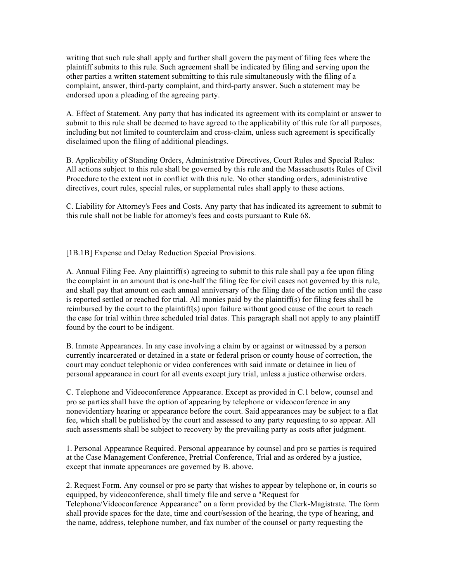writing that such rule shall apply and further shall govern the payment of filing fees where the plaintiff submits to this rule. Such agreement shall be indicated by filing and serving upon the other parties a written statement submitting to this rule simultaneously with the filing of a complaint, answer, third-party complaint, and third-party answer. Such a statement may be endorsed upon a pleading of the agreeing party.

A. Effect of Statement. Any party that has indicated its agreement with its complaint or answer to submit to this rule shall be deemed to have agreed to the applicability of this rule for all purposes, including but not limited to counterclaim and cross-claim, unless such agreement is specifically disclaimed upon the filing of additional pleadings.

B. Applicability of Standing Orders, Administrative Directives, Court Rules and Special Rules: All actions subject to this rule shall be governed by this rule and the Massachusetts Rules of Civil Procedure to the extent not in conflict with this rule. No other standing orders, administrative directives, court rules, special rules, or supplemental rules shall apply to these actions.

C. Liability for Attorney's Fees and Costs. Any party that has indicated its agreement to submit to this rule shall not be liable for attorney's fees and costs pursuant to Rule 68.

[1B.1B] Expense and Delay Reduction Special Provisions.

A. Annual Filing Fee. Any plaintiff(s) agreeing to submit to this rule shall pay a fee upon filing the complaint in an amount that is one-half the filing fee for civil cases not governed by this rule, and shall pay that amount on each annual anniversary of the filing date of the action until the case is reported settled or reached for trial. All monies paid by the plaintiff(s) for filing fees shall be reimbursed by the court to the plaintiff(s) upon failure without good cause of the court to reach the case for trial within three scheduled trial dates. This paragraph shall not apply to any plaintiff found by the court to be indigent.

B. Inmate Appearances. In any case involving a claim by or against or witnessed by a person currently incarcerated or detained in a state or federal prison or county house of correction, the court may conduct telephonic or video conferences with said inmate or detainee in lieu of personal appearance in court for all events except jury trial, unless a justice otherwise orders.

C. Telephone and Videoconference Appearance. Except as provided in C.1 below, counsel and pro se parties shall have the option of appearing by telephone or videoconference in any nonevidentiary hearing or appearance before the court. Said appearances may be subject to a flat fee, which shall be published by the court and assessed to any party requesting to so appear. All such assessments shall be subject to recovery by the prevailing party as costs after judgment.

1. Personal Appearance Required. Personal appearance by counsel and pro se parties is required at the Case Management Conference, Pretrial Conference, Trial and as ordered by a justice, except that inmate appearances are governed by B. above.

2. Request Form. Any counsel or pro se party that wishes to appear by telephone or, in courts so equipped, by videoconference, shall timely file and serve a "Request for Telephone/Videoconference Appearance" on a form provided by the Clerk-Magistrate. The form shall provide spaces for the date, time and court/session of the hearing, the type of hearing, and the name, address, telephone number, and fax number of the counsel or party requesting the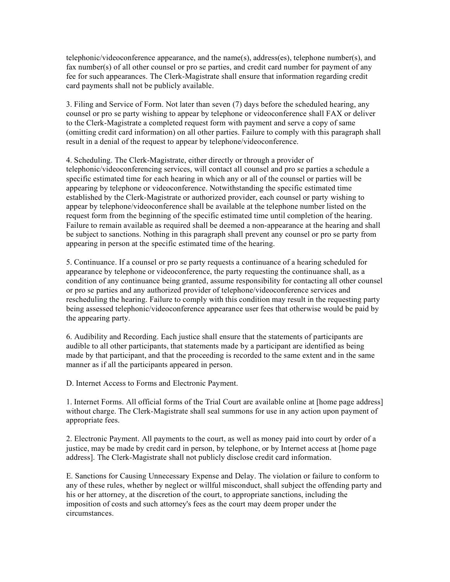telephonic/videoconference appearance, and the name(s), address(es), telephone number(s), and fax number(s) of all other counsel or pro se parties, and credit card number for payment of any fee for such appearances. The Clerk-Magistrate shall ensure that information regarding credit card payments shall not be publicly available.

3. Filing and Service of Form. Not later than seven (7) days before the scheduled hearing, any counsel or pro se party wishing to appear by telephone or videoconference shall FAX or deliver to the Clerk-Magistrate a completed request form with payment and serve a copy of same (omitting credit card information) on all other parties. Failure to comply with this paragraph shall result in a denial of the request to appear by telephone/videoconference.

4. Scheduling. The Clerk-Magistrate, either directly or through a provider of telephonic/videoconferencing services, will contact all counsel and pro se parties a schedule a specific estimated time for each hearing in which any or all of the counsel or parties will be appearing by telephone or videoconference. Notwithstanding the specific estimated time established by the Clerk-Magistrate or authorized provider, each counsel or party wishing to appear by telephone/videoconference shall be available at the telephone number listed on the request form from the beginning of the specific estimated time until completion of the hearing. Failure to remain available as required shall be deemed a non-appearance at the hearing and shall be subject to sanctions. Nothing in this paragraph shall prevent any counsel or pro se party from appearing in person at the specific estimated time of the hearing.

5. Continuance. If a counsel or pro se party requests a continuance of a hearing scheduled for appearance by telephone or videoconference, the party requesting the continuance shall, as a condition of any continuance being granted, assume responsibility for contacting all other counsel or pro se parties and any authorized provider of telephone/videoconference services and rescheduling the hearing. Failure to comply with this condition may result in the requesting party being assessed telephonic/videoconference appearance user fees that otherwise would be paid by the appearing party.

6. Audibility and Recording. Each justice shall ensure that the statements of participants are audible to all other participants, that statements made by a participant are identified as being made by that participant, and that the proceeding is recorded to the same extent and in the same manner as if all the participants appeared in person.

D. Internet Access to Forms and Electronic Payment.

1. Internet Forms. All official forms of the Trial Court are available online at [home page address] without charge. The Clerk-Magistrate shall seal summons for use in any action upon payment of appropriate fees.

2. Electronic Payment. All payments to the court, as well as money paid into court by order of a justice, may be made by credit card in person, by telephone, or by Internet access at [home page address]. The Clerk-Magistrate shall not publicly disclose credit card information.

E. Sanctions for Causing Unnecessary Expense and Delay. The violation or failure to conform to any of these rules, whether by neglect or willful misconduct, shall subject the offending party and his or her attorney, at the discretion of the court, to appropriate sanctions, including the imposition of costs and such attorney's fees as the court may deem proper under the circumstances.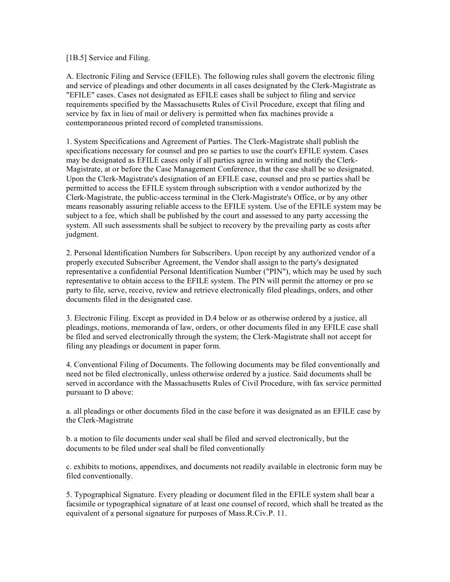#### [1B.5] Service and Filing.

A. Electronic Filing and Service (EFILE). The following rules shall govern the electronic filing and service of pleadings and other documents in all cases designated by the Clerk-Magistrate as "EFILE" cases. Cases not designated as EFILE cases shall be subject to filing and service requirements specified by the Massachusetts Rules of Civil Procedure, except that filing and service by fax in lieu of mail or delivery is permitted when fax machines provide a contemporaneous printed record of completed transmissions.

1. System Specifications and Agreement of Parties. The Clerk-Magistrate shall publish the specifications necessary for counsel and pro se parties to use the court's EFILE system. Cases may be designated as EFILE cases only if all parties agree in writing and notify the Clerk-Magistrate, at or before the Case Management Conference, that the case shall be so designated. Upon the Clerk-Magistrate's designation of an EFILE case, counsel and pro se parties shall be permitted to access the EFILE system through subscription with a vendor authorized by the Clerk-Magistrate, the public-access terminal in the Clerk-Magistrate's Office, or by any other means reasonably assuring reliable access to the EFILE system. Use of the EFILE system may be subject to a fee, which shall be published by the court and assessed to any party accessing the system. All such assessments shall be subject to recovery by the prevailing party as costs after judgment.

2. Personal Identification Numbers for Subscribers. Upon receipt by any authorized vendor of a properly executed Subscriber Agreement, the Vendor shall assign to the party's designated representative a confidential Personal Identification Number ("PIN"), which may be used by such representative to obtain access to the EFILE system. The PIN will permit the attorney or pro se party to file, serve, receive, review and retrieve electronically filed pleadings, orders, and other documents filed in the designated case.

3. Electronic Filing. Except as provided in D.4 below or as otherwise ordered by a justice, all pleadings, motions, memoranda of law, orders, or other documents filed in any EFILE case shall be filed and served electronically through the system; the Clerk-Magistrate shall not accept for filing any pleadings or document in paper form.

4. Conventional Filing of Documents. The following documents may be filed conventionally and need not be filed electronically, unless otherwise ordered by a justice. Said documents shall be served in accordance with the Massachusetts Rules of Civil Procedure, with fax service permitted pursuant to D above:

a. all pleadings or other documents filed in the case before it was designated as an EFILE case by the Clerk-Magistrate

b. a motion to file documents under seal shall be filed and served electronically, but the documents to be filed under seal shall be filed conventionally

c. exhibits to motions, appendixes, and documents not readily available in electronic form may be filed conventionally.

5. Typographical Signature. Every pleading or document filed in the EFILE system shall bear a facsimile or typographical signature of at least one counsel of record, which shall be treated as the equivalent of a personal signature for purposes of Mass.R.Civ.P. 11.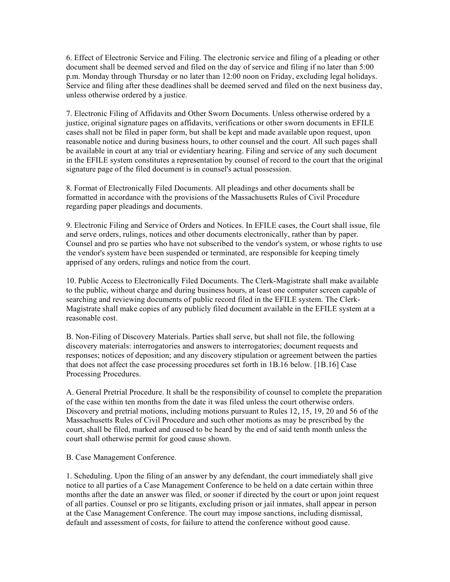6. Effect of Electronic Service and Filing. The electronic service and filing of a pleading or other document shall be deemed served and filed on the day of service and filing if no later than 5:00 p.m. Monday through Thursday or no later than 12:00 noon on Friday, excluding legal holidays. Service and filing after these deadlines shall be deemed served and filed on the next business day, unless otherwise ordered by a justice.

7. Electronic Filing of Affidavits and Other Sworn Documents. Unless otherwise ordered by a justice, original signature pages on affidavits, verifications or other sworn documents in EFILE cases shall not be filed in paper form, but shall be kept and made available upon request, upon reasonable notice and during business hours, to other counsel and the court. All such pages shall be available in court at any trial or evidentiary hearing. Filing and service of any such document in the EFILE system constitutes a representation by counsel of record to the court that the original signature page of the filed document is in counsel's actual possession.

8. Format of Electronically Filed Documents. All pleadings and other documents shall be formatted in accordance with the provisions of the Massachusetts Rules of Civil Procedure regarding paper pleadings and documents.

9. Electronic Filing and Service of Orders and Notices. In EFILE cases, the Court shall issue, file and serve orders, rulings, notices and other documents electronically, rather than by paper. Counsel and pro se parties who have not subscribed to the vendor's system, or whose rights to use the vendor's system have been suspended or terminated, are responsible for keeping timely apprised of any orders, rulings and notice from the court.

10. Public Access to Electronically Filed Documents. The Clerk-Magistrate shall make available to the public, without charge and during business hours, at least one computer screen capable of searching and reviewing documents of public record filed in the EFILE system. The Clerk-Magistrate shall make copies of any publicly filed document available in the EFILE system at a reasonable cost.

B. Non-Filing of Discovery Materials. Parties shall serve, but shall not file, the following discovery materials: interrogatories and answers to interrogatories; document requests and responses; notices of deposition; and any discovery stipulation or agreement between the parties that does not affect the case processing procedures set forth in 1B.16 below. [1B.16] Case Processing Procedures.

A. General Pretrial Procedure. It shall be the responsibility of counsel to complete the preparation of the case within ten months from the date it was filed unless the court otherwise orders. Discovery and pretrial motions, including motions pursuant to Rules 12, 15, 19, 20 and 56 of the Massachusetts Rules of Civil Procedure and such other motions as may be prescribed by the court, shall be filed, marked and caused to be heard by the end of said tenth month unless the court shall otherwise permit for good cause shown.

B. Case Management Conference.

1. Scheduling. Upon the filing of an answer by any defendant, the court immediately shall give notice to all parties of a Case Management Conference to be held on a date certain within three months after the date an answer was filed, or sooner if directed by the court or upon joint request of all parties. Counsel or pro se litigants, excluding prison or jail inmates, shall appear in person at the Case Management Conference. The court may impose sanctions, including dismissal, default and assessment of costs, for failure to attend the conference without good cause.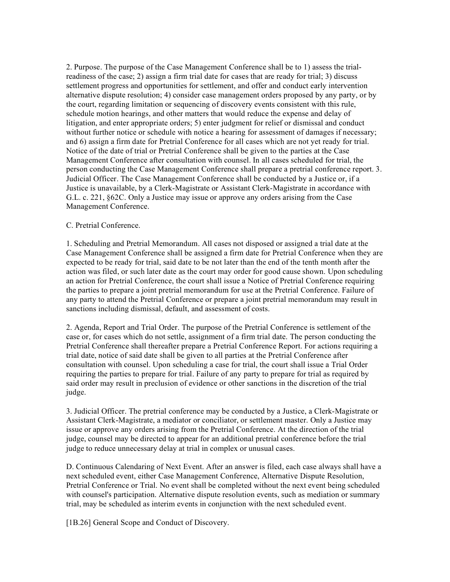2. Purpose. The purpose of the Case Management Conference shall be to 1) assess the trialreadiness of the case; 2) assign a firm trial date for cases that are ready for trial; 3) discuss settlement progress and opportunities for settlement, and offer and conduct early intervention alternative dispute resolution; 4) consider case management orders proposed by any party, or by the court, regarding limitation or sequencing of discovery events consistent with this rule, schedule motion hearings, and other matters that would reduce the expense and delay of litigation, and enter appropriate orders; 5) enter judgment for relief or dismissal and conduct without further notice or schedule with notice a hearing for assessment of damages if necessary; and 6) assign a firm date for Pretrial Conference for all cases which are not yet ready for trial. Notice of the date of trial or Pretrial Conference shall be given to the parties at the Case Management Conference after consultation with counsel. In all cases scheduled for trial, the person conducting the Case Management Conference shall prepare a pretrial conference report. 3. Judicial Officer. The Case Management Conference shall be conducted by a Justice or, if a Justice is unavailable, by a Clerk-Magistrate or Assistant Clerk-Magistrate in accordance with G.L. c. 221, §62C. Only a Justice may issue or approve any orders arising from the Case Management Conference.

#### C. Pretrial Conference.

1. Scheduling and Pretrial Memorandum. All cases not disposed or assigned a trial date at the Case Management Conference shall be assigned a firm date for Pretrial Conference when they are expected to be ready for trial, said date to be not later than the end of the tenth month after the action was filed, or such later date as the court may order for good cause shown. Upon scheduling an action for Pretrial Conference, the court shall issue a Notice of Pretrial Conference requiring the parties to prepare a joint pretrial memorandum for use at the Pretrial Conference. Failure of any party to attend the Pretrial Conference or prepare a joint pretrial memorandum may result in sanctions including dismissal, default, and assessment of costs.

2. Agenda, Report and Trial Order. The purpose of the Pretrial Conference is settlement of the case or, for cases which do not settle, assignment of a firm trial date. The person conducting the Pretrial Conference shall thereafter prepare a Pretrial Conference Report. For actions requiring a trial date, notice of said date shall be given to all parties at the Pretrial Conference after consultation with counsel. Upon scheduling a case for trial, the court shall issue a Trial Order requiring the parties to prepare for trial. Failure of any party to prepare for trial as required by said order may result in preclusion of evidence or other sanctions in the discretion of the trial judge.

3. Judicial Officer. The pretrial conference may be conducted by a Justice, a Clerk-Magistrate or Assistant Clerk-Magistrate, a mediator or conciliator, or settlement master. Only a Justice may issue or approve any orders arising from the Pretrial Conference. At the direction of the trial judge, counsel may be directed to appear for an additional pretrial conference before the trial judge to reduce unnecessary delay at trial in complex or unusual cases.

D. Continuous Calendaring of Next Event. After an answer is filed, each case always shall have a next scheduled event, either Case Management Conference, Alternative Dispute Resolution, Pretrial Conference or Trial. No event shall be completed without the next event being scheduled with counsel's participation. Alternative dispute resolution events, such as mediation or summary trial, may be scheduled as interim events in conjunction with the next scheduled event.

[1B.26] General Scope and Conduct of Discovery.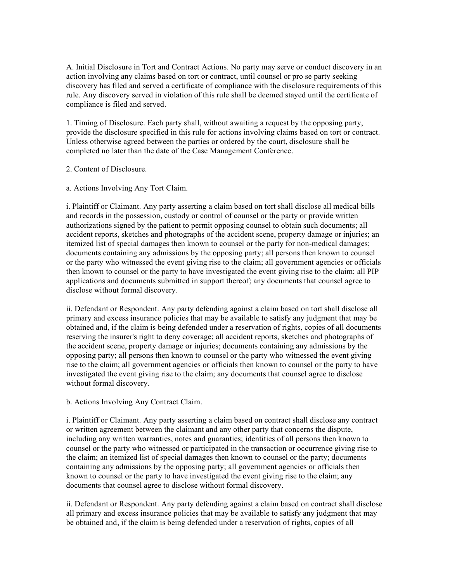A. Initial Disclosure in Tort and Contract Actions. No party may serve or conduct discovery in an action involving any claims based on tort or contract, until counsel or pro se party seeking discovery has filed and served a certificate of compliance with the disclosure requirements of this rule. Any discovery served in violation of this rule shall be deemed stayed until the certificate of compliance is filed and served.

1. Timing of Disclosure. Each party shall, without awaiting a request by the opposing party, provide the disclosure specified in this rule for actions involving claims based on tort or contract. Unless otherwise agreed between the parties or ordered by the court, disclosure shall be completed no later than the date of the Case Management Conference.

#### 2. Content of Disclosure.

a. Actions Involving Any Tort Claim.

i. Plaintiff or Claimant. Any party asserting a claim based on tort shall disclose all medical bills and records in the possession, custody or control of counsel or the party or provide written authorizations signed by the patient to permit opposing counsel to obtain such documents; all accident reports, sketches and photographs of the accident scene, property damage or injuries; an itemized list of special damages then known to counsel or the party for non-medical damages; documents containing any admissions by the opposing party; all persons then known to counsel or the party who witnessed the event giving rise to the claim; all government agencies or officials then known to counsel or the party to have investigated the event giving rise to the claim; all PIP applications and documents submitted in support thereof; any documents that counsel agree to disclose without formal discovery.

ii. Defendant or Respondent. Any party defending against a claim based on tort shall disclose all primary and excess insurance policies that may be available to satisfy any judgment that may be obtained and, if the claim is being defended under a reservation of rights, copies of all documents reserving the insurer's right to deny coverage; all accident reports, sketches and photographs of the accident scene, property damage or injuries; documents containing any admissions by the opposing party; all persons then known to counsel or the party who witnessed the event giving rise to the claim; all government agencies or officials then known to counsel or the party to have investigated the event giving rise to the claim; any documents that counsel agree to disclose without formal discovery.

b. Actions Involving Any Contract Claim.

i. Plaintiff or Claimant. Any party asserting a claim based on contract shall disclose any contract or written agreement between the claimant and any other party that concerns the dispute, including any written warranties, notes and guaranties; identities of all persons then known to counsel or the party who witnessed or participated in the transaction or occurrence giving rise to the claim; an itemized list of special damages then known to counsel or the party; documents containing any admissions by the opposing party; all government agencies or officials then known to counsel or the party to have investigated the event giving rise to the claim; any documents that counsel agree to disclose without formal discovery.

ii. Defendant or Respondent. Any party defending against a claim based on contract shall disclose all primary and excess insurance policies that may be available to satisfy any judgment that may be obtained and, if the claim is being defended under a reservation of rights, copies of all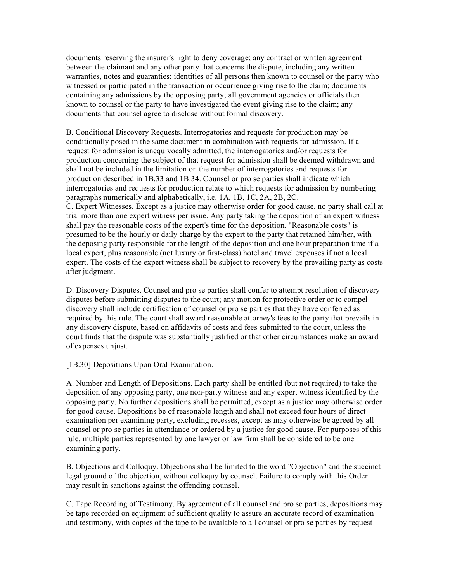documents reserving the insurer's right to deny coverage; any contract or written agreement between the claimant and any other party that concerns the dispute, including any written warranties, notes and guaranties; identities of all persons then known to counsel or the party who witnessed or participated in the transaction or occurrence giving rise to the claim; documents containing any admissions by the opposing party; all government agencies or officials then known to counsel or the party to have investigated the event giving rise to the claim; any documents that counsel agree to disclose without formal discovery.

B. Conditional Discovery Requests. Interrogatories and requests for production may be conditionally posed in the same document in combination with requests for admission. If a request for admission is unequivocally admitted, the interrogatories and/or requests for production concerning the subject of that request for admission shall be deemed withdrawn and shall not be included in the limitation on the number of interrogatories and requests for production described in 1B.33 and 1B.34. Counsel or pro se parties shall indicate which interrogatories and requests for production relate to which requests for admission by numbering paragraphs numerically and alphabetically, i.e. 1A, 1B, 1C, 2A, 2B, 2C.

C. Expert Witnesses. Except as a justice may otherwise order for good cause, no party shall call at trial more than one expert witness per issue. Any party taking the deposition of an expert witness shall pay the reasonable costs of the expert's time for the deposition. "Reasonable costs" is presumed to be the hourly or daily charge by the expert to the party that retained him/her, with the deposing party responsible for the length of the deposition and one hour preparation time if a local expert, plus reasonable (not luxury or first-class) hotel and travel expenses if not a local expert. The costs of the expert witness shall be subject to recovery by the prevailing party as costs after judgment.

D. Discovery Disputes. Counsel and pro se parties shall confer to attempt resolution of discovery disputes before submitting disputes to the court; any motion for protective order or to compel discovery shall include certification of counsel or pro se parties that they have conferred as required by this rule. The court shall award reasonable attorney's fees to the party that prevails in any discovery dispute, based on affidavits of costs and fees submitted to the court, unless the court finds that the dispute was substantially justified or that other circumstances make an award of expenses unjust.

[1B.30] Depositions Upon Oral Examination.

A. Number and Length of Depositions. Each party shall be entitled (but not required) to take the deposition of any opposing party, one non-party witness and any expert witness identified by the opposing party. No further depositions shall be permitted, except as a justice may otherwise order for good cause. Depositions be of reasonable length and shall not exceed four hours of direct examination per examining party, excluding recesses, except as may otherwise be agreed by all counsel or pro se parties in attendance or ordered by a justice for good cause. For purposes of this rule, multiple parties represented by one lawyer or law firm shall be considered to be one examining party.

B. Objections and Colloquy. Objections shall be limited to the word "Objection" and the succinct legal ground of the objection, without colloquy by counsel. Failure to comply with this Order may result in sanctions against the offending counsel.

C. Tape Recording of Testimony. By agreement of all counsel and pro se parties, depositions may be tape recorded on equipment of sufficient quality to assure an accurate record of examination and testimony, with copies of the tape to be available to all counsel or pro se parties by request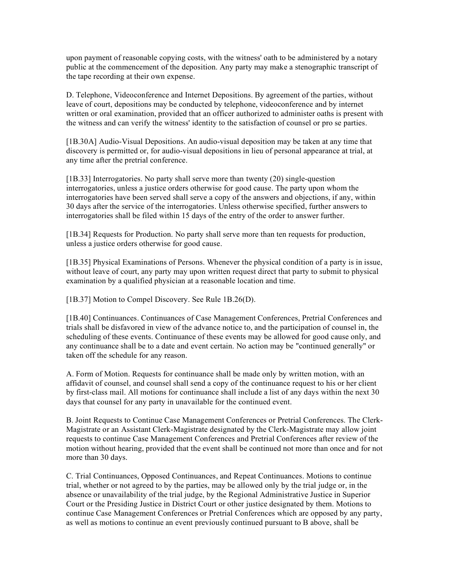upon payment of reasonable copying costs, with the witness' oath to be administered by a notary public at the commencement of the deposition. Any party may make a stenographic transcript of the tape recording at their own expense.

D. Telephone, Videoconference and Internet Depositions. By agreement of the parties, without leave of court, depositions may be conducted by telephone, videoconference and by internet written or oral examination, provided that an officer authorized to administer oaths is present with the witness and can verify the witness' identity to the satisfaction of counsel or pro se parties.

[1B.30A] Audio-Visual Depositions. An audio-visual deposition may be taken at any time that discovery is permitted or, for audio-visual depositions in lieu of personal appearance at trial, at any time after the pretrial conference.

[1B.33] Interrogatories. No party shall serve more than twenty (20) single-question interrogatories, unless a justice orders otherwise for good cause. The party upon whom the interrogatories have been served shall serve a copy of the answers and objections, if any, within 30 days after the service of the interrogatories. Unless otherwise specified, further answers to interrogatories shall be filed within 15 days of the entry of the order to answer further.

[1B.34] Requests for Production. No party shall serve more than ten requests for production, unless a justice orders otherwise for good cause.

[1B.35] Physical Examinations of Persons. Whenever the physical condition of a party is in issue, without leave of court, any party may upon written request direct that party to submit to physical examination by a qualified physician at a reasonable location and time.

[1B.37] Motion to Compel Discovery. See Rule 1B.26(D).

[1B.40] Continuances. Continuances of Case Management Conferences, Pretrial Conferences and trials shall be disfavored in view of the advance notice to, and the participation of counsel in, the scheduling of these events. Continuance of these events may be allowed for good cause only, and any continuance shall be to a date and event certain. No action may be "continued generally" or taken off the schedule for any reason.

A. Form of Motion. Requests for continuance shall be made only by written motion, with an affidavit of counsel, and counsel shall send a copy of the continuance request to his or her client by first-class mail. All motions for continuance shall include a list of any days within the next 30 days that counsel for any party in unavailable for the continued event.

B. Joint Requests to Continue Case Management Conferences or Pretrial Conferences. The Clerk-Magistrate or an Assistant Clerk-Magistrate designated by the Clerk-Magistrate may allow joint requests to continue Case Management Conferences and Pretrial Conferences after review of the motion without hearing, provided that the event shall be continued not more than once and for not more than 30 days.

C. Trial Continuances, Opposed Continuances, and Repeat Continuances. Motions to continue trial, whether or not agreed to by the parties, may be allowed only by the trial judge or, in the absence or unavailability of the trial judge, by the Regional Administrative Justice in Superior Court or the Presiding Justice in District Court or other justice designated by them. Motions to continue Case Management Conferences or Pretrial Conferences which are opposed by any party, as well as motions to continue an event previously continued pursuant to B above, shall be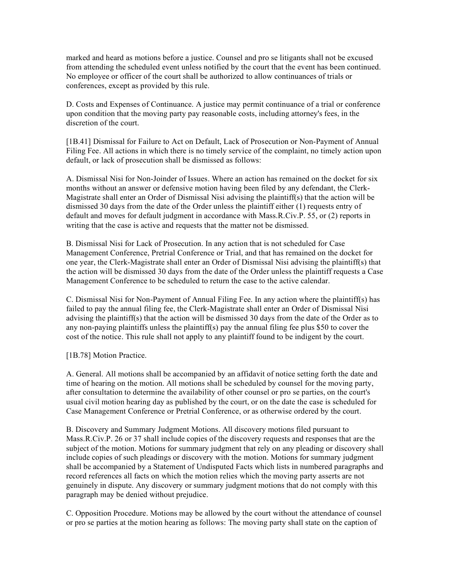marked and heard as motions before a justice. Counsel and pro se litigants shall not be excused from attending the scheduled event unless notified by the court that the event has been continued. No employee or officer of the court shall be authorized to allow continuances of trials or conferences, except as provided by this rule.

D. Costs and Expenses of Continuance. A justice may permit continuance of a trial or conference upon condition that the moving party pay reasonable costs, including attorney's fees, in the discretion of the court.

[1B.41] Dismissal for Failure to Act on Default, Lack of Prosecution or Non-Payment of Annual Filing Fee. All actions in which there is no timely service of the complaint, no timely action upon default, or lack of prosecution shall be dismissed as follows:

A. Dismissal Nisi for Non-Joinder of Issues. Where an action has remained on the docket for six months without an answer or defensive motion having been filed by any defendant, the Clerk-Magistrate shall enter an Order of Dismissal Nisi advising the plaintiff(s) that the action will be dismissed 30 days from the date of the Order unless the plaintiff either (1) requests entry of default and moves for default judgment in accordance with Mass.R.Civ.P. 55, or (2) reports in writing that the case is active and requests that the matter not be dismissed.

B. Dismissal Nisi for Lack of Prosecution. In any action that is not scheduled for Case Management Conference, Pretrial Conference or Trial, and that has remained on the docket for one year, the Clerk-Magistrate shall enter an Order of Dismissal Nisi advising the plaintiff(s) that the action will be dismissed 30 days from the date of the Order unless the plaintiff requests a Case Management Conference to be scheduled to return the case to the active calendar.

C. Dismissal Nisi for Non-Payment of Annual Filing Fee. In any action where the plaintiff(s) has failed to pay the annual filing fee, the Clerk-Magistrate shall enter an Order of Dismissal Nisi advising the plaintiff(s) that the action will be dismissed 30 days from the date of the Order as to any non-paying plaintiffs unless the plaintiff(s) pay the annual filing fee plus \$50 to cover the cost of the notice. This rule shall not apply to any plaintiff found to be indigent by the court.

[1B.78] Motion Practice.

A. General. All motions shall be accompanied by an affidavit of notice setting forth the date and time of hearing on the motion. All motions shall be scheduled by counsel for the moving party, after consultation to determine the availability of other counsel or pro se parties, on the court's usual civil motion hearing day as published by the court, or on the date the case is scheduled for Case Management Conference or Pretrial Conference, or as otherwise ordered by the court.

B. Discovery and Summary Judgment Motions. All discovery motions filed pursuant to Mass.R.Civ.P. 26 or 37 shall include copies of the discovery requests and responses that are the subject of the motion. Motions for summary judgment that rely on any pleading or discovery shall include copies of such pleadings or discovery with the motion. Motions for summary judgment shall be accompanied by a Statement of Undisputed Facts which lists in numbered paragraphs and record references all facts on which the motion relies which the moving party asserts are not genuinely in dispute. Any discovery or summary judgment motions that do not comply with this paragraph may be denied without prejudice.

C. Opposition Procedure. Motions may be allowed by the court without the attendance of counsel or pro se parties at the motion hearing as follows: The moving party shall state on the caption of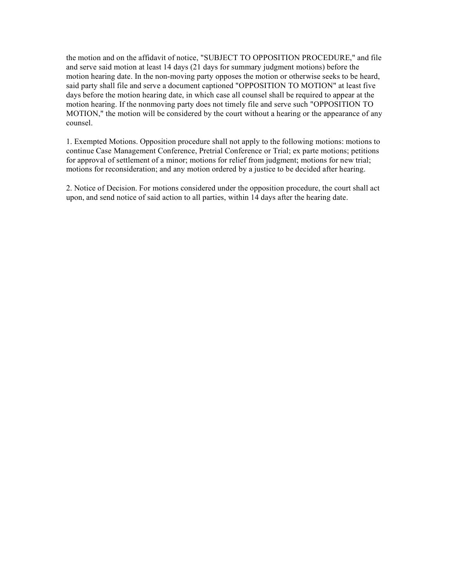the motion and on the affidavit of notice, "SUBJECT TO OPPOSITION PROCEDURE," and file and serve said motion at least 14 days (21 days for summary judgment motions) before the motion hearing date. In the non-moving party opposes the motion or otherwise seeks to be heard, said party shall file and serve a document captioned "OPPOSITION TO MOTION" at least five days before the motion hearing date, in which case all counsel shall be required to appear at the motion hearing. If the nonmoving party does not timely file and serve such "OPPOSITION TO MOTION," the motion will be considered by the court without a hearing or the appearance of any counsel.

1. Exempted Motions. Opposition procedure shall not apply to the following motions: motions to continue Case Management Conference, Pretrial Conference or Trial; ex parte motions; petitions for approval of settlement of a minor; motions for relief from judgment; motions for new trial; motions for reconsideration; and any motion ordered by a justice to be decided after hearing.

2. Notice of Decision. For motions considered under the opposition procedure, the court shall act upon, and send notice of said action to all parties, within 14 days after the hearing date.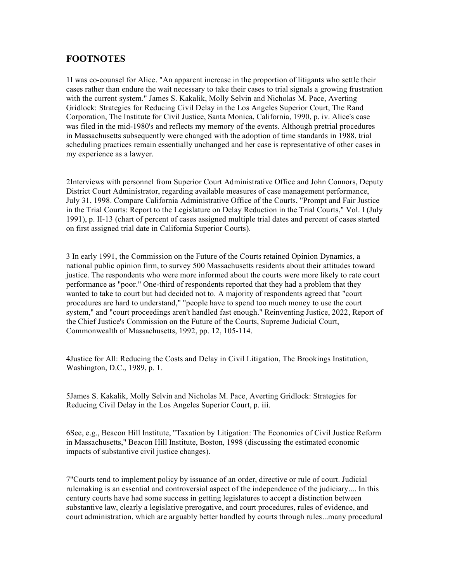### **FOOTNOTES**

1I was co-counsel for Alice. "An apparent increase in the proportion of litigants who settle their cases rather than endure the wait necessary to take their cases to trial signals a growing frustration with the current system." James S. Kakalik, Molly Selvin and Nicholas M. Pace, Averting Gridlock: Strategies for Reducing Civil Delay in the Los Angeles Superior Court, The Rand Corporation, The Institute for Civil Justice, Santa Monica, California, 1990, p. iv. Alice's case was filed in the mid-1980's and reflects my memory of the events. Although pretrial procedures in Massachusetts subsequently were changed with the adoption of time standards in 1988, trial scheduling practices remain essentially unchanged and her case is representative of other cases in my experience as a lawyer.

2Interviews with personnel from Superior Court Administrative Office and John Connors, Deputy District Court Administrator, regarding available measures of case management performance, July 31, 1998. Compare California Administrative Office of the Courts, "Prompt and Fair Justice in the Trial Courts: Report to the Legislature on Delay Reduction in the Trial Courts," Vol. I (July 1991), p. II-13 (chart of percent of cases assigned multiple trial dates and percent of cases started on first assigned trial date in California Superior Courts).

3 In early 1991, the Commission on the Future of the Courts retained Opinion Dynamics, a national public opinion firm, to survey 500 Massachusetts residents about their attitudes toward justice. The respondents who were more informed about the courts were more likely to rate court performance as "poor." One-third of respondents reported that they had a problem that they wanted to take to court but had decided not to. A majority of respondents agreed that "court procedures are hard to understand," "people have to spend too much money to use the court system," and "court proceedings aren't handled fast enough." Reinventing Justice, 2022, Report of the Chief Justice's Commission on the Future of the Courts, Supreme Judicial Court, Commonwealth of Massachusetts, 1992, pp. 12, 105-114.

4Justice for All: Reducing the Costs and Delay in Civil Litigation, The Brookings Institution, Washington, D.C., 1989, p. 1.

5James S. Kakalik, Molly Selvin and Nicholas M. Pace, Averting Gridlock: Strategies for Reducing Civil Delay in the Los Angeles Superior Court, p. iii.

6See, e.g., Beacon Hill Institute, "Taxation by Litigation: The Economics of Civil Justice Reform in Massachusetts," Beacon Hill Institute, Boston, 1998 (discussing the estimated economic impacts of substantive civil justice changes).

7"Courts tend to implement policy by issuance of an order, directive or rule of court. Judicial rulemaking is an essential and controversial aspect of the independence of the judiciary.... In this century courts have had some success in getting legislatures to accept a distinction between substantive law, clearly a legislative prerogative, and court procedures, rules of evidence, and court administration, which are arguably better handled by courts through rules...many procedural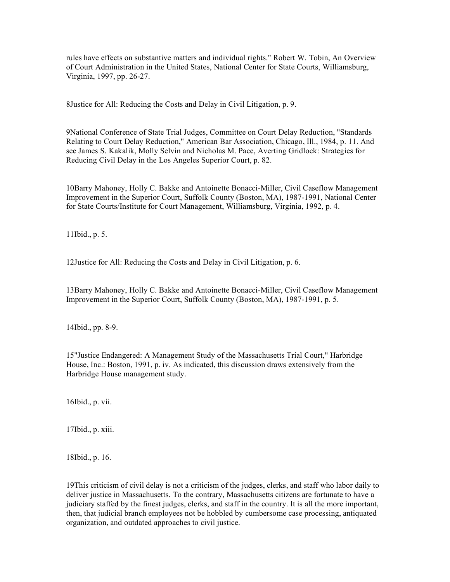rules have effects on substantive matters and individual rights." Robert W. Tobin, An Overview of Court Administration in the United States, National Center for State Courts, Williamsburg, Virginia, 1997, pp. 26-27.

8Justice for All: Reducing the Costs and Delay in Civil Litigation, p. 9.

9National Conference of State Trial Judges, Committee on Court Delay Reduction, "Standards Relating to Court Delay Reduction," American Bar Association, Chicago, Ill., 1984, p. 11. And see James S. Kakalik, Molly Selvin and Nicholas M. Pace, Averting Gridlock: Strategies for Reducing Civil Delay in the Los Angeles Superior Court, p. 82.

10Barry Mahoney, Holly C. Bakke and Antoinette Bonacci-Miller, Civil Caseflow Management Improvement in the Superior Court, Suffolk County (Boston, MA), 1987-1991, National Center for State Courts/Institute for Court Management, Williamsburg, Virginia, 1992, p. 4.

11Ibid., p. 5.

12Justice for All: Reducing the Costs and Delay in Civil Litigation, p. 6.

13Barry Mahoney, Holly C. Bakke and Antoinette Bonacci-Miller, Civil Caseflow Management Improvement in the Superior Court, Suffolk County (Boston, MA), 1987-1991, p. 5.

14Ibid., pp. 8-9.

15"Justice Endangered: A Management Study of the Massachusetts Trial Court," Harbridge House, Inc.: Boston, 1991, p. iv. As indicated, this discussion draws extensively from the Harbridge House management study.

16Ibid., p. vii.

17Ibid., p. xiii.

18Ibid., p. 16.

19This criticism of civil delay is not a criticism of the judges, clerks, and staff who labor daily to deliver justice in Massachusetts. To the contrary, Massachusetts citizens are fortunate to have a judiciary staffed by the finest judges, clerks, and staff in the country. It is all the more important, then, that judicial branch employees not be hobbled by cumbersome case processing, antiquated organization, and outdated approaches to civil justice.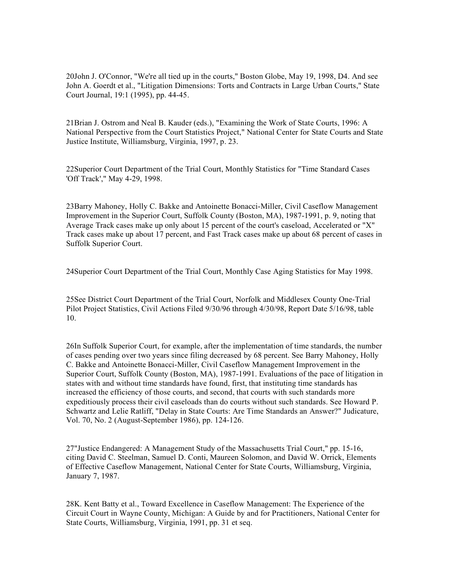20John J. O'Connor, "We're all tied up in the courts," Boston Globe, May 19, 1998, D4. And see John A. Goerdt et al., "Litigation Dimensions: Torts and Contracts in Large Urban Courts," State Court Journal, 19:1 (1995), pp. 44-45.

21Brian J. Ostrom and Neal B. Kauder (eds.), "Examining the Work of State Courts, 1996: A National Perspective from the Court Statistics Project," National Center for State Courts and State Justice Institute, Williamsburg, Virginia, 1997, p. 23.

22Superior Court Department of the Trial Court, Monthly Statistics for "Time Standard Cases 'Off Track'," May 4-29, 1998.

23Barry Mahoney, Holly C. Bakke and Antoinette Bonacci-Miller, Civil Caseflow Management Improvement in the Superior Court, Suffolk County (Boston, MA), 1987-1991, p. 9, noting that Average Track cases make up only about 15 percent of the court's caseload, Accelerated or "X" Track cases make up about 17 percent, and Fast Track cases make up about 68 percent of cases in Suffolk Superior Court.

24Superior Court Department of the Trial Court, Monthly Case Aging Statistics for May 1998.

25See District Court Department of the Trial Court, Norfolk and Middlesex County One-Trial Pilot Project Statistics, Civil Actions Filed 9/30/96 through 4/30/98, Report Date 5/16/98, table 10.

26In Suffolk Superior Court, for example, after the implementation of time standards, the number of cases pending over two years since filing decreased by 68 percent. See Barry Mahoney, Holly C. Bakke and Antoinette Bonacci-Miller, Civil Caseflow Management Improvement in the Superior Court, Suffolk County (Boston, MA), 1987-1991. Evaluations of the pace of litigation in states with and without time standards have found, first, that instituting time standards has increased the efficiency of those courts, and second, that courts with such standards more expeditiously process their civil caseloads than do courts without such standards. See Howard P. Schwartz and Lelie Ratliff, "Delay in State Courts: Are Time Standards an Answer?" Judicature, Vol. 70, No. 2 (August-September 1986), pp. 124-126.

27"Justice Endangered: A Management Study of the Massachusetts Trial Court," pp. 15-16, citing David C. Steelman, Samuel D. Conti, Maureen Solomon, and David W. Orrick, Elements of Effective Caseflow Management, National Center for State Courts, Williamsburg, Virginia, January 7, 1987.

28K. Kent Batty et al., Toward Excellence in Caseflow Management: The Experience of the Circuit Court in Wayne County, Michigan: A Guide by and for Practitioners, National Center for State Courts, Williamsburg, Virginia, 1991, pp. 31 et seq.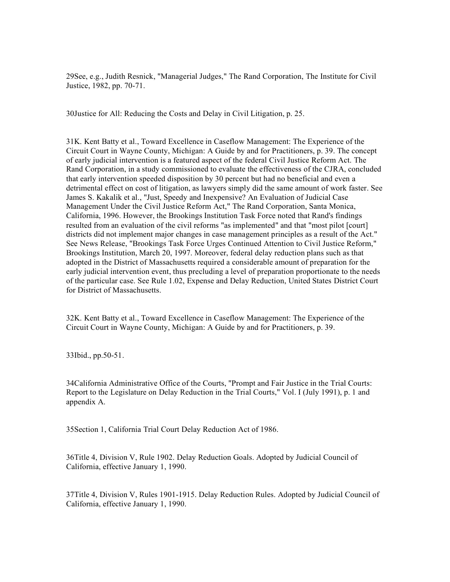29See, e.g., Judith Resnick, "Managerial Judges," The Rand Corporation, The Institute for Civil Justice, 1982, pp. 70-71.

30Justice for All: Reducing the Costs and Delay in Civil Litigation, p. 25.

31K. Kent Batty et al., Toward Excellence in Caseflow Management: The Experience of the Circuit Court in Wayne County, Michigan: A Guide by and for Practitioners, p. 39. The concept of early judicial intervention is a featured aspect of the federal Civil Justice Reform Act. The Rand Corporation, in a study commissioned to evaluate the effectiveness of the CJRA, concluded that early intervention speeded disposition by 30 percent but had no beneficial and even a detrimental effect on cost of litigation, as lawyers simply did the same amount of work faster. See James S. Kakalik et al., "Just, Speedy and Inexpensive? An Evaluation of Judicial Case Management Under the Civil Justice Reform Act," The Rand Corporation, Santa Monica, California, 1996. However, the Brookings Institution Task Force noted that Rand's findings resulted from an evaluation of the civil reforms "as implemented" and that "most pilot [court] districts did not implement major changes in case management principles as a result of the Act." See News Release, "Brookings Task Force Urges Continued Attention to Civil Justice Reform," Brookings Institution, March 20, 1997. Moreover, federal delay reduction plans such as that adopted in the District of Massachusetts required a considerable amount of preparation for the early judicial intervention event, thus precluding a level of preparation proportionate to the needs of the particular case. See Rule 1.02, Expense and Delay Reduction, United States District Court for District of Massachusetts.

32K. Kent Batty et al., Toward Excellence in Caseflow Management: The Experience of the Circuit Court in Wayne County, Michigan: A Guide by and for Practitioners, p. 39.

33Ibid., pp.50-51.

34California Administrative Office of the Courts, "Prompt and Fair Justice in the Trial Courts: Report to the Legislature on Delay Reduction in the Trial Courts," Vol. I (July 1991), p. 1 and appendix A.

35Section 1, California Trial Court Delay Reduction Act of 1986.

36Title 4, Division V, Rule 1902. Delay Reduction Goals. Adopted by Judicial Council of California, effective January 1, 1990.

37Title 4, Division V, Rules 1901-1915. Delay Reduction Rules. Adopted by Judicial Council of California, effective January 1, 1990.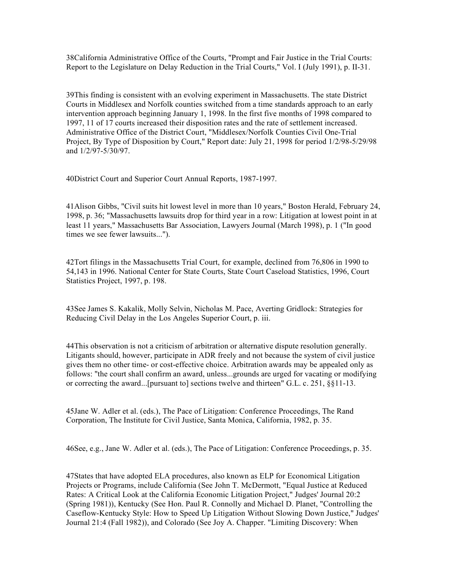38California Administrative Office of the Courts, "Prompt and Fair Justice in the Trial Courts: Report to the Legislature on Delay Reduction in the Trial Courts," Vol. I (July 1991), p. II-31.

39This finding is consistent with an evolving experiment in Massachusetts. The state District Courts in Middlesex and Norfolk counties switched from a time standards approach to an early intervention approach beginning January 1, 1998. In the first five months of 1998 compared to 1997, 11 of 17 courts increased their disposition rates and the rate of settlement increased. Administrative Office of the District Court, "Middlesex/Norfolk Counties Civil One-Trial Project, By Type of Disposition by Court," Report date: July 21, 1998 for period 1/2/98-5/29/98 and 1/2/97-5/30/97.

40District Court and Superior Court Annual Reports, 1987-1997.

41Alison Gibbs, "Civil suits hit lowest level in more than 10 years," Boston Herald, February 24, 1998, p. 36; "Massachusetts lawsuits drop for third year in a row: Litigation at lowest point in at least 11 years," Massachusetts Bar Association, Lawyers Journal (March 1998), p. 1 ("In good times we see fewer lawsuits...").

42Tort filings in the Massachusetts Trial Court, for example, declined from 76,806 in 1990 to 54,143 in 1996. National Center for State Courts, State Court Caseload Statistics, 1996, Court Statistics Project, 1997, p. 198.

43See James S. Kakalik, Molly Selvin, Nicholas M. Pace, Averting Gridlock: Strategies for Reducing Civil Delay in the Los Angeles Superior Court, p. iii.

44This observation is not a criticism of arbitration or alternative dispute resolution generally. Litigants should, however, participate in ADR freely and not because the system of civil justice gives them no other time- or cost-effective choice. Arbitration awards may be appealed only as follows: "the court shall confirm an award, unless...grounds are urged for vacating or modifying or correcting the award...[pursuant to] sections twelve and thirteen" G.L. c. 251, §§11-13.

45Jane W. Adler et al. (eds.), The Pace of Litigation: Conference Proceedings, The Rand Corporation, The Institute for Civil Justice, Santa Monica, California, 1982, p. 35.

46See, e.g., Jane W. Adler et al. (eds.), The Pace of Litigation: Conference Proceedings, p. 35.

47States that have adopted ELA procedures, also known as ELP for Economical Litigation Projects or Programs, include California (See John T. McDermott, "Equal Justice at Reduced Rates: A Critical Look at the California Economic Litigation Project," Judges' Journal 20:2 (Spring 1981)), Kentucky (See Hon. Paul R. Connolly and Michael D. Planet, "Controlling the Caseflow-Kentucky Style: How to Speed Up Litigation Without Slowing Down Justice," Judges' Journal 21:4 (Fall 1982)), and Colorado (See Joy A. Chapper. "Limiting Discovery: When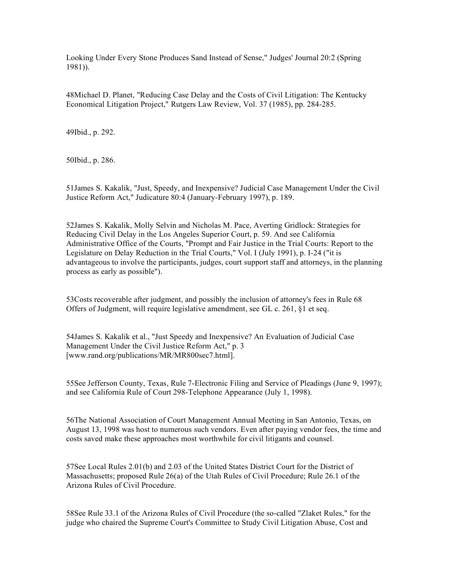Looking Under Every Stone Produces Sand Instead of Sense," Judges' Journal 20:2 (Spring 1981)).

48Michael D. Planet, "Reducing Case Delay and the Costs of Civil Litigation: The Kentucky Economical Litigation Project," Rutgers Law Review, Vol. 37 (1985), pp. 284-285.

49Ibid., p. 292.

50Ibid., p. 286.

51James S. Kakalik, "Just, Speedy, and Inexpensive? Judicial Case Management Under the Civil Justice Reform Act," Judicature 80:4 (January-February 1997), p. 189.

52James S. Kakalik, Molly Selvin and Nicholas M. Pace, Averting Gridlock: Strategies for Reducing Civil Delay in the Los Angeles Superior Court, p. 59. And see California Administrative Office of the Courts, "Prompt and Fair Justice in the Trial Courts: Report to the Legislature on Delay Reduction in the Trial Courts," Vol. I (July 1991), p. I-24 ("it is advantageous to involve the participants, judges, court support staff and attorneys, in the planning process as early as possible").

53Costs recoverable after judgment, and possibly the inclusion of attorney's fees in Rule 68 Offers of Judgment, will require legislative amendment, see GL c. 261, §1 et seq.

54James S. Kakalik et al., "Just Speedy and Inexpensive? An Evaluation of Judicial Case Management Under the Civil Justice Reform Act," p. 3 [www.rand.org/publications/MR/MR800sec7.html].

55See Jefferson County, Texas, Rule 7-Electronic Filing and Service of Pleadings (June 9, 1997); and see California Rule of Court 298-Telephone Appearance (July 1, 1998).

56The National Association of Court Management Annual Meeting in San Antonio, Texas, on August 13, 1998 was host to numerous such vendors. Even after paying vendor fees, the time and costs saved make these approaches most worthwhile for civil litigants and counsel.

57See Local Rules 2.01(b) and 2.03 of the United States District Court for the District of Massachusetts; proposed Rule 26(a) of the Utah Rules of Civil Procedure; Rule 26.1 of the Arizona Rules of Civil Procedure.

58See Rule 33.1 of the Arizona Rules of Civil Procedure (the so-called "Zlaket Rules," for the judge who chaired the Supreme Court's Committee to Study Civil Litigation Abuse, Cost and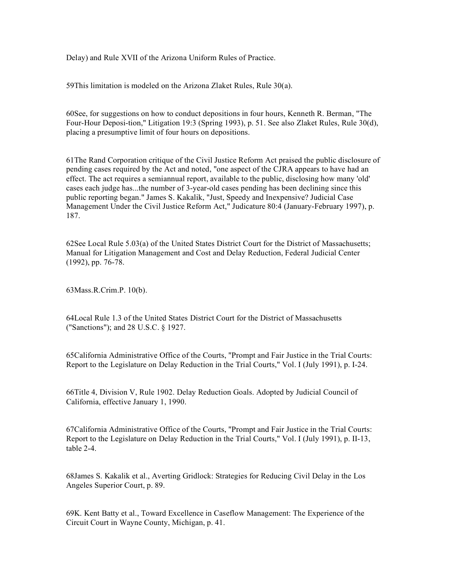Delay) and Rule XVII of the Arizona Uniform Rules of Practice.

59This limitation is modeled on the Arizona Zlaket Rules, Rule 30(a).

60See, for suggestions on how to conduct depositions in four hours, Kenneth R. Berman, "The Four-Hour Deposi-tion," Litigation 19:3 (Spring 1993), p. 51. See also Zlaket Rules, Rule 30(d), placing a presumptive limit of four hours on depositions.

61The Rand Corporation critique of the Civil Justice Reform Act praised the public disclosure of pending cases required by the Act and noted, "one aspect of the CJRA appears to have had an effect. The act requires a semiannual report, available to the public, disclosing how many 'old' cases each judge has...the number of 3-year-old cases pending has been declining since this public reporting began." James S. Kakalik, "Just, Speedy and Inexpensive? Judicial Case Management Under the Civil Justice Reform Act," Judicature 80:4 (January-February 1997), p. 187.

62See Local Rule 5.03(a) of the United States District Court for the District of Massachusetts; Manual for Litigation Management and Cost and Delay Reduction, Federal Judicial Center (1992), pp. 76-78.

63Mass.R.Crim.P. 10(b).

64Local Rule 1.3 of the United States District Court for the District of Massachusetts ("Sanctions"); and 28 U.S.C. § 1927.

65California Administrative Office of the Courts, "Prompt and Fair Justice in the Trial Courts: Report to the Legislature on Delay Reduction in the Trial Courts," Vol. I (July 1991), p. I-24.

66Title 4, Division V, Rule 1902. Delay Reduction Goals. Adopted by Judicial Council of California, effective January 1, 1990.

67California Administrative Office of the Courts, "Prompt and Fair Justice in the Trial Courts: Report to the Legislature on Delay Reduction in the Trial Courts," Vol. I (July 1991), p. II-13, table 2-4.

68James S. Kakalik et al., Averting Gridlock: Strategies for Reducing Civil Delay in the Los Angeles Superior Court, p. 89.

69K. Kent Batty et al., Toward Excellence in Caseflow Management: The Experience of the Circuit Court in Wayne County, Michigan, p. 41.